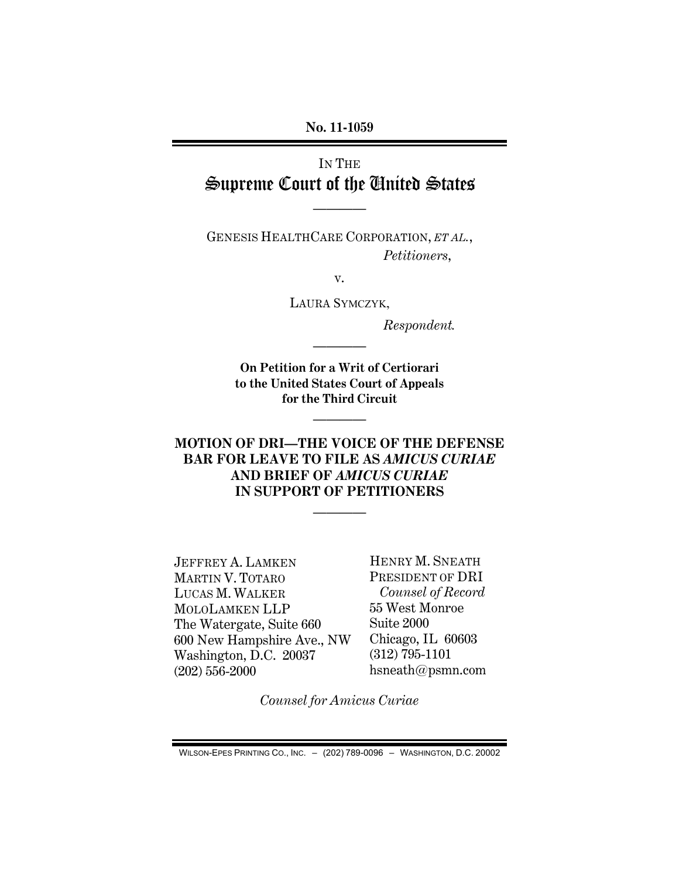### **No. 11-1059**

# IN THE Supreme Court of the United States

————

GENESIS HEALTHCARE CORPORATION, *ET AL.*,  *Petitioners*,

v.

LAURA SYMCZYK,

 *Respondent.* 

**On Petition for a Writ of Certiorari to the United States Court of Appeals for the Third Circuit** 

————

————

### **MOTION OF DRI—THE VOICE OF THE DEFENSE BAR FOR LEAVE TO FILE AS** *AMICUS CURIAE*  **AND BRIEF OF** *AMICUS CURIAE*  **IN SUPPORT OF PETITIONERS**

————

JEFFREY A. LAMKEN MARTIN V. TOTARO LUCAS M. WALKER MOLOLAMKEN LLP The Watergate, Suite 660 600 New Hampshire Ave., NW Washington, D.C. 20037 (202) 556-2000

HENRY M. SNEATH PRESIDENT OF DRI *Counsel of Record*  55 West Monroe Suite 2000 Chicago, IL 60603 (312) 795-1101 hsneath@psmn.com

*Counsel for Amicus Curiae* 

WILSON-EPES PRINTING CO., INC. – (202) 789-0096 – WASHINGTON, D.C. 20002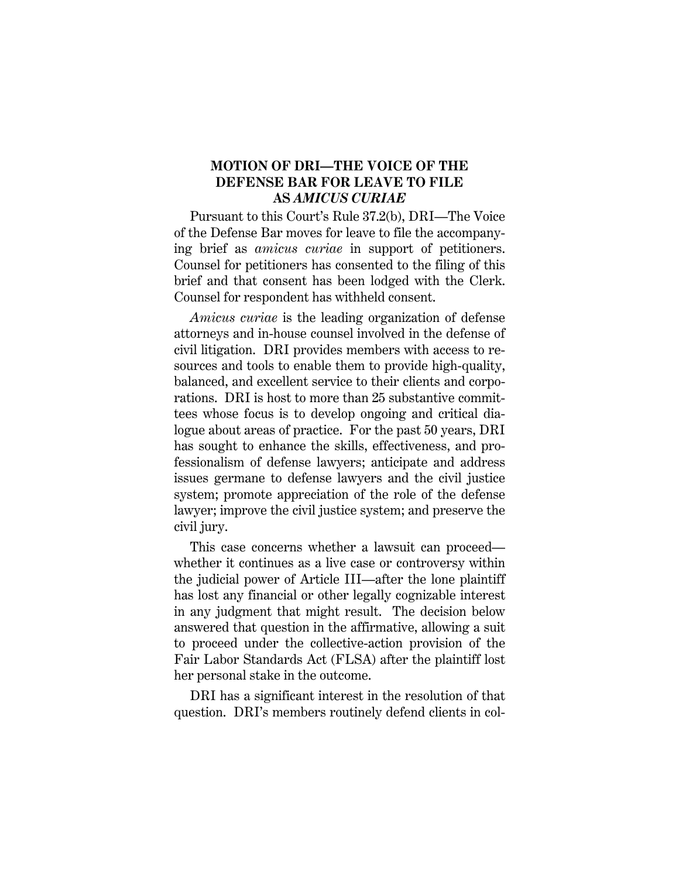### **MOTION OF DRI—THE VOICE OF THE DEFENSE BAR FOR LEAVE TO FILE AS** *AMICUS CURIAE*

Pursuant to this Court's Rule 37.2(b), DRI—The Voice of the Defense Bar moves for leave to file the accompanying brief as *amicus curiae* in support of petitioners. Counsel for petitioners has consented to the filing of this brief and that consent has been lodged with the Clerk. Counsel for respondent has withheld consent.

*Amicus curiae* is the leading organization of defense attorneys and in-house counsel involved in the defense of civil litigation. DRI provides members with access to resources and tools to enable them to provide high-quality, balanced, and excellent service to their clients and corporations. DRI is host to more than 25 substantive committees whose focus is to develop ongoing and critical dialogue about areas of practice. For the past 50 years, DRI has sought to enhance the skills, effectiveness, and professionalism of defense lawyers; anticipate and address issues germane to defense lawyers and the civil justice system; promote appreciation of the role of the defense lawyer; improve the civil justice system; and preserve the civil jury.

This case concerns whether a lawsuit can proceed whether it continues as a live case or controversy within the judicial power of Article III—after the lone plaintiff has lost any financial or other legally cognizable interest in any judgment that might result. The decision below answered that question in the affirmative, allowing a suit to proceed under the collective-action provision of the Fair Labor Standards Act (FLSA) after the plaintiff lost her personal stake in the outcome.

DRI has a significant interest in the resolution of that question. DRI's members routinely defend clients in col-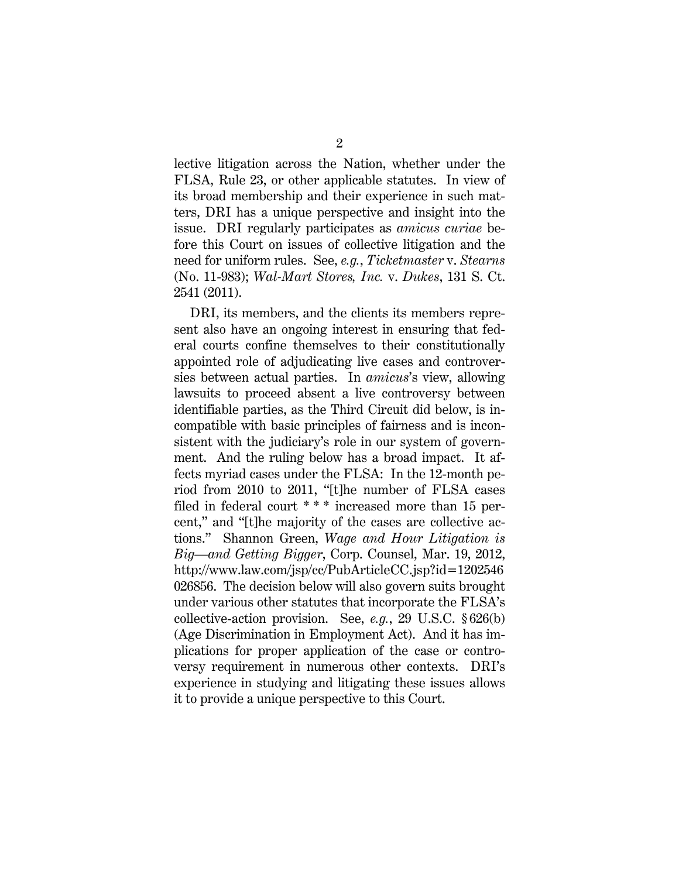lective litigation across the Nation, whether under the FLSA, Rule 23, or other applicable statutes. In view of its broad membership and their experience in such matters, DRI has a unique perspective and insight into the issue. DRI regularly participates as *amicus curiae* before this Court on issues of collective litigation and the need for uniform rules. See, *e.g.*, *Ticketmaster* v. *Stearns* (No. 11-983); *Wal-Mart Stores, Inc.* v. *Dukes*, 131 S. Ct. 2541 (2011).

DRI, its members, and the clients its members represent also have an ongoing interest in ensuring that federal courts confine themselves to their constitutionally appointed role of adjudicating live cases and controversies between actual parties. In *amicus*'s view, allowing lawsuits to proceed absent a live controversy between identifiable parties, as the Third Circuit did below, is incompatible with basic principles of fairness and is inconsistent with the judiciary's role in our system of government. And the ruling below has a broad impact. It affects myriad cases under the FLSA: In the 12-month period from 2010 to 2011, "[t]he number of FLSA cases filed in federal court \* \* \* increased more than 15 percent," and "[t]he majority of the cases are collective actions." Shannon Green, *Wage and Hour Litigation is Big—and Getting Bigger*, Corp. Counsel, Mar. 19, 2012, http://www.law.com/jsp/cc/PubArticleCC.jsp?id=1202546 026856. The decision below will also govern suits brought under various other statutes that incorporate the FLSA's collective-action provision. See, *e.g.*, 29 U.S.C. § 626(b) (Age Discrimination in Employment Act). And it has implications for proper application of the case or controversy requirement in numerous other contexts. DRI's experience in studying and litigating these issues allows it to provide a unique perspective to this Court.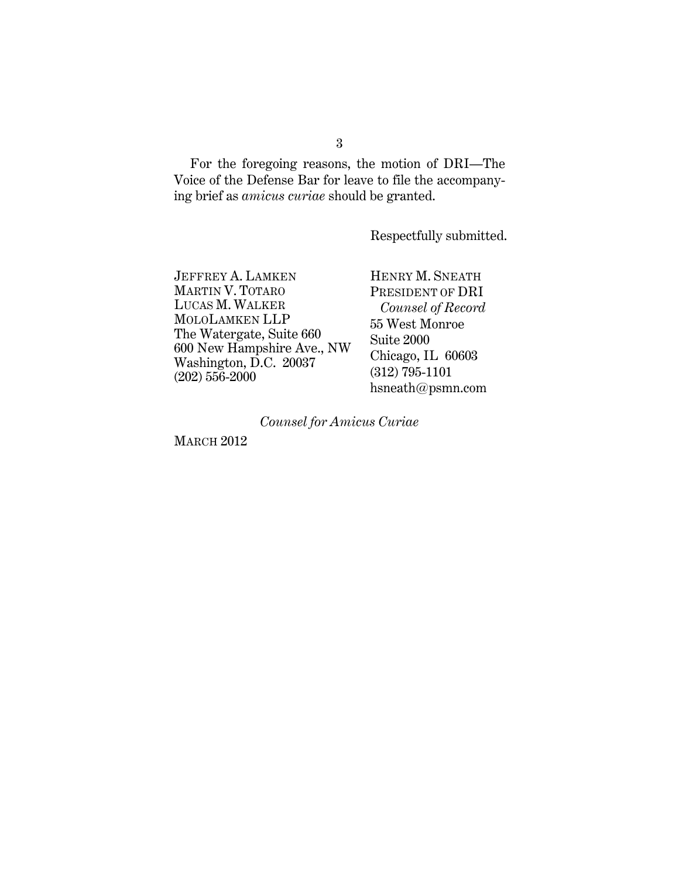For the foregoing reasons, the motion of DRI—The Voice of the Defense Bar for leave to file the accompanying brief as *amicus curiae* should be granted.

Respectfully submitted.

JEFFREY A. LAMKEN MARTIN V. TOTARO LUCAS M. WALKER MOLOLAMKEN LLP The Watergate, Suite 660 600 New Hampshire Ave., NW Washington, D.C. 20037 (202) 556-2000

HENRY M. SNEATH PRESIDENT OF DRI *Counsel of Record*  55 West Monroe Suite 2000 Chicago, IL 60603 (312) 795-1101 hsneath@psmn.com

*Counsel for Amicus Curiae* 

**MARCH 2012**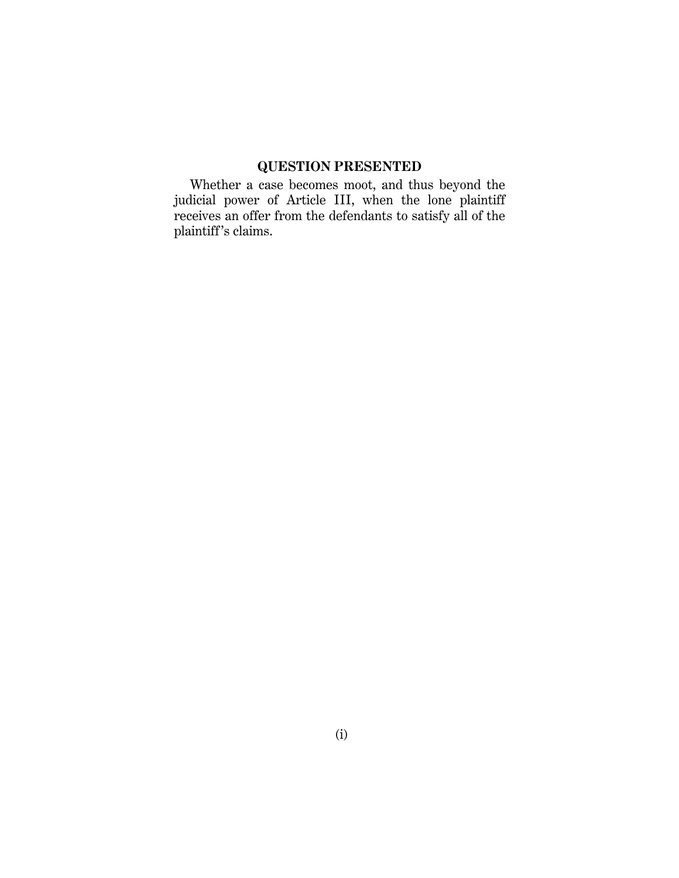# **QUESTION PRESENTED**

Whether a case becomes moot, and thus beyond the judicial power of Article III, when the lone plaintiff receives an offer from the defendants to satisfy all of the plaintiff 's claims.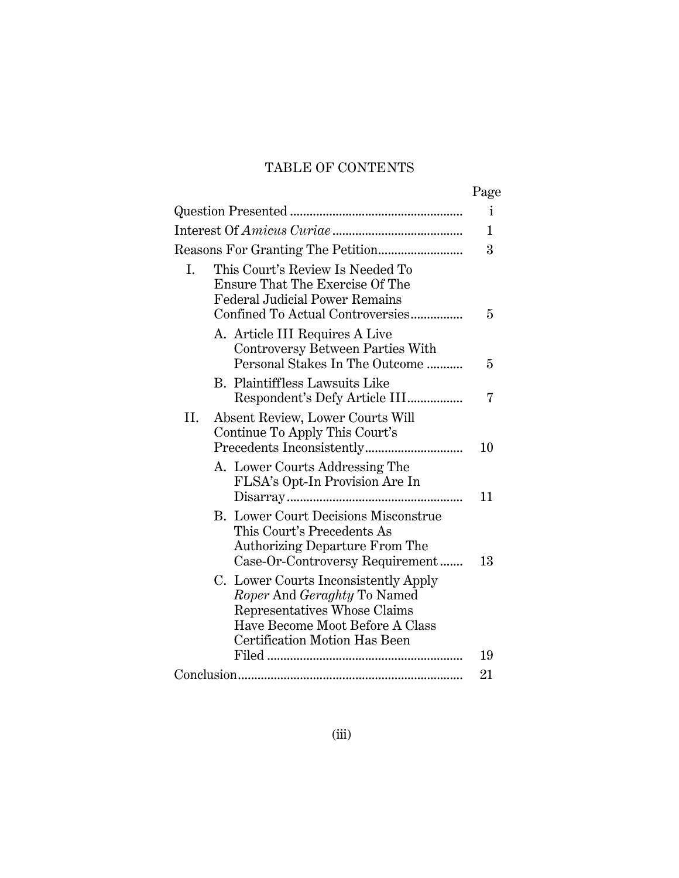# TABLE OF CONTENTS

|     |                                                                                                                                                                                       | Page |
|-----|---------------------------------------------------------------------------------------------------------------------------------------------------------------------------------------|------|
|     |                                                                                                                                                                                       | i    |
|     |                                                                                                                                                                                       | 1    |
|     |                                                                                                                                                                                       |      |
| I.  | This Court's Review Is Needed To<br>Ensure That The Exercise Of The<br><b>Federal Judicial Power Remains</b><br>Confined To Actual Controversies                                      | 5    |
|     | A. Article III Requires A Live<br>Controversy Between Parties With<br>Personal Stakes In The Outcome                                                                                  | 5    |
|     | Plaintiffless Lawsuits Like<br>В.<br>Respondent's Defy Article III                                                                                                                    | 7    |
| II. | Absent Review, Lower Courts Will<br>Continue To Apply This Court's                                                                                                                    | 10   |
|     | A. Lower Courts Addressing The<br>FLSA's Opt-In Provision Are In                                                                                                                      | 11   |
|     | <b>B.</b> Lower Court Decisions Misconstrue<br>This Court's Precedents As<br><b>Authorizing Departure From The</b><br>Case-Or-Controversy Requirement                                 | 13   |
|     | C. Lower Courts Inconsistently Apply<br><i>Roper</i> And <i>Geraghty</i> To Named<br>Representatives Whose Claims<br>Have Become Moot Before A Class<br>Certification Motion Has Been |      |
|     |                                                                                                                                                                                       | 19   |
|     |                                                                                                                                                                                       |      |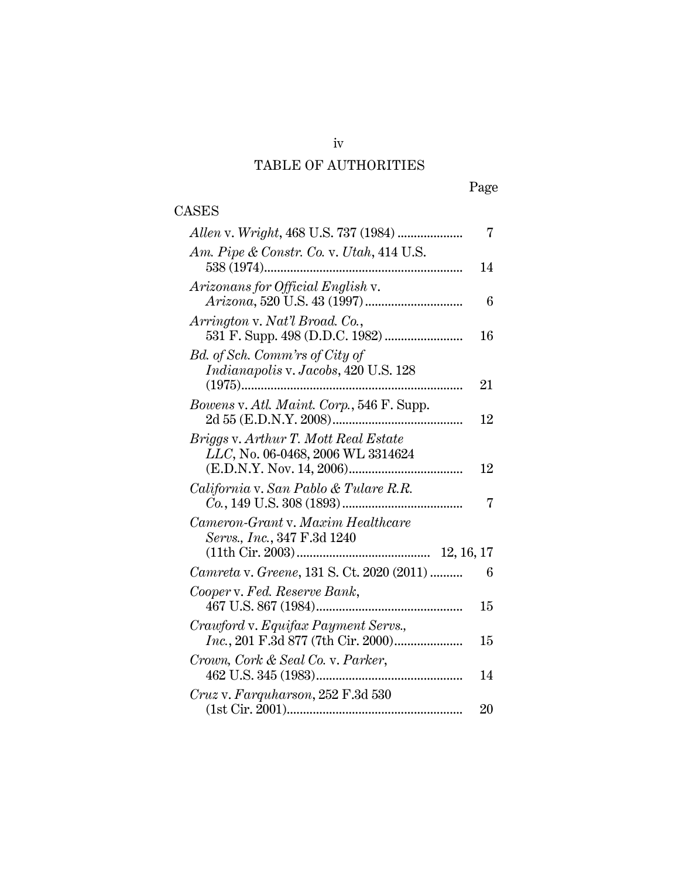### TABLE OF AUTHORITIES

CASES

#### Page

# *Allen* v. *Wright*, 468 U.S. 737 (1984) .................... 7 *Am. Pipe & Constr. Co.* v. *Utah*, 414 U.S. 538 (1974)............................................................. 14 *Arizonans for Official English* v. *Arizona*, 520 U.S. 43 (1997).............................. 6 *Arrington* v. *Nat'l Broad. Co.*, 531 F. Supp. 498 (D.D.C. 1982) ........................ 16 *Bd. of Sch. Comm'rs of City of Indianapolis* v. *Jacobs*, 420 U.S. 128 (1975).................................................................... 21 *Bowens* v. *Atl. Maint. Corp.*, 546 F. Supp. 2d 55 (E.D.N.Y. 2008)........................................ 12 *Briggs* v. *Arthur T. Mott Real Estate LLC*, No. 06-0468, 2006 WL 3314624 (E.D.N.Y. Nov. 14, 2006)................................... 12 *California* v. *San Pablo & Tulare R.R. Co.*, 149 U.S. 308 (1893)..................................... 7 *Cameron-Grant* v. *Maxim Healthcare Servs., Inc.*, 347 F.3d 1240 (11th Cir. 2003)......................................... 12, 16, 17 *Camreta* v. *Greene*, 131 S. Ct. 2020 (2011) .......... 6 *Cooper* v. *Fed. Reserve Bank*, 467 U.S. 867 (1984)............................................. 15 *Crawford* v. *Equifax Payment Servs., Inc.*, 201 F.3d 877 (7th Cir. 2000)..................... 15 *Crown, Cork & Seal Co.* v. *Parker*, 462 U.S. 345 (1983)............................................. 14 *Cruz* v. *Farquharson*, 252 F.3d 530

(1st Cir. 2001)...................................................... 20

iv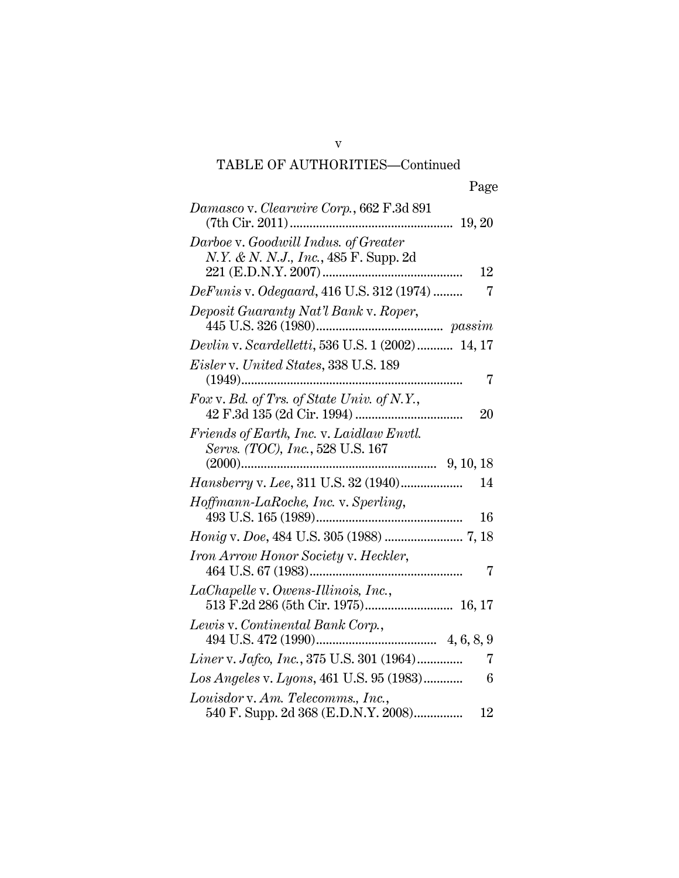# TABLE OF AUTHORITIES—Continued

| Damasco v. Clearwire Corp., 662 F.3d 891                                                       |
|------------------------------------------------------------------------------------------------|
| Darboe v. Goodwill Indus. of Greater<br><i>N.Y. &amp; N. N.J., Inc.,</i> 485 F. Supp. 2d<br>12 |
| <i>DeFunis v. Odegaard</i> , 416 U.S. 312 (1974)<br>7                                          |
| Deposit Guaranty Nat'l Bank v. Roper,                                                          |
| Devlin v. Scardelletti, 536 U.S. 1 (2002)  14, 17                                              |
| <i>Eisler v. United States, 338 U.S. 189</i>                                                   |
| $(1949)$<br>7                                                                                  |
| Fox v. Bd. of Trs. of State Univ. of N.Y.,<br>20                                               |
| Friends of Earth, Inc. v. Laidlaw Envtl.<br>Servs. (TOC), Inc., 528 U.S. 167                   |
|                                                                                                |
| Hansberry v. Lee, 311 U.S. 32 (1940)<br>14                                                     |
| Hoffmann-LaRoche, Inc. v. Sperling,<br>16                                                      |
|                                                                                                |
| Iron Arrow Honor Society v. Heckler,<br>7                                                      |
| LaChapelle v. Owens-Illinois, Inc.,                                                            |
| Lewis v. Continental Bank Corp.,                                                               |
| Liner v. Jafco, Inc., 375 U.S. 301 (1964)<br>7                                                 |
| Los Angeles v. Lyons, 461 U.S. 95 (1983)<br>6                                                  |
| Louisdor v. Am. Telecomms., Inc.,<br>540 F. Supp. 2d 368 (E.D.N.Y. 2008)<br>12                 |

v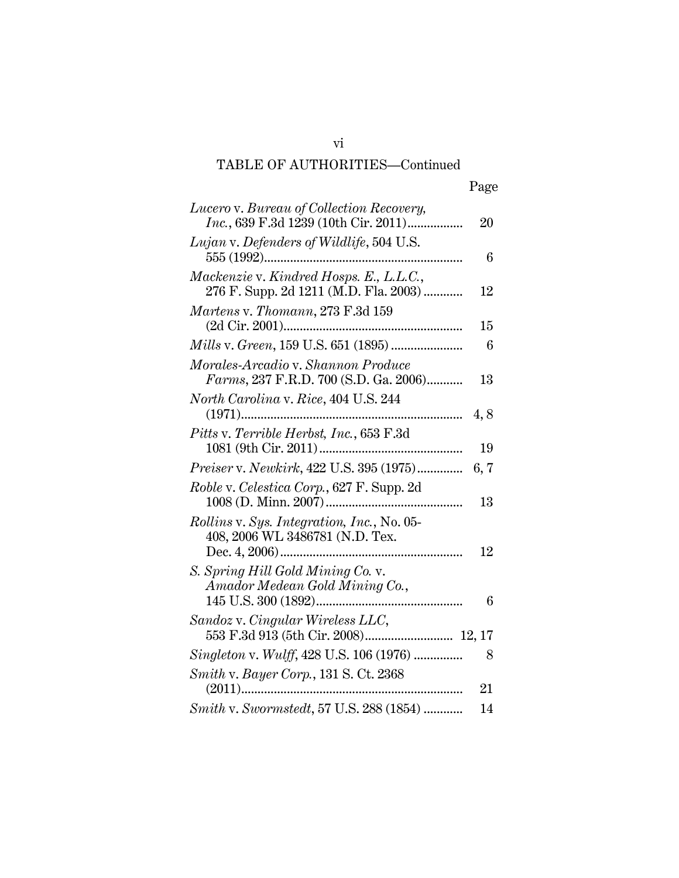# TABLE OF AUTHORITIES—Continued

| Lucero v. Bureau of Collection Recovery,<br>Inc., 639 F.3d 1239 (10th Cir. 2011) | 20   |
|----------------------------------------------------------------------------------|------|
|                                                                                  |      |
| Lujan v. Defenders of Wildlife, 504 U.S.                                         |      |
| 555 (1992)                                                                       | 6    |
| Mackenzie v. Kindred Hosps. E., L.L.C.,                                          |      |
| 276 F. Supp. 2d 1211 (M.D. Fla. 2003)                                            | 12   |
| Martens v. Thomann, 273 F.3d 159                                                 |      |
|                                                                                  |      |
|                                                                                  | 15   |
|                                                                                  | 6    |
| Morales-Arcadio v. Shannon Produce                                               |      |
| Farms, 237 F.R.D. 700 (S.D. Ga. 2006)                                            | 13   |
|                                                                                  |      |
| North Carolina v. Rice, 404 U.S. 244                                             |      |
|                                                                                  | 4,8  |
| Pitts v. Terrible Herbst, Inc., 653 F.3d                                         |      |
|                                                                                  | 19   |
| Preiser v. Newkirk, 422 U.S. 395 (1975)                                          | 6, 7 |
| Roble v. Celestica Corp., 627 F. Supp. 2d                                        |      |
|                                                                                  | 13   |
|                                                                                  |      |
| <i>Rollins v. Sys. Integration, Inc., No. 05-</i>                                |      |
| 408, 2006 WL 3486781 (N.D. Tex.                                                  |      |
|                                                                                  | 12   |
| S. Spring Hill Gold Mining Co. v.                                                |      |
| Amador Medean Gold Mining Co.,                                                   |      |
|                                                                                  | 6    |
| Sandoz v. Cingular Wireless LLC,                                                 |      |
|                                                                                  |      |
|                                                                                  |      |
| Singleton v. Wulff, 428 U.S. 106 (1976)                                          | 8    |
| Smith v. Bayer Corp., 131 S. Ct. 2368                                            |      |
|                                                                                  | 21   |
| Smith v. Swormstedt, 57 U.S. 288 (1854)                                          | 14   |

vi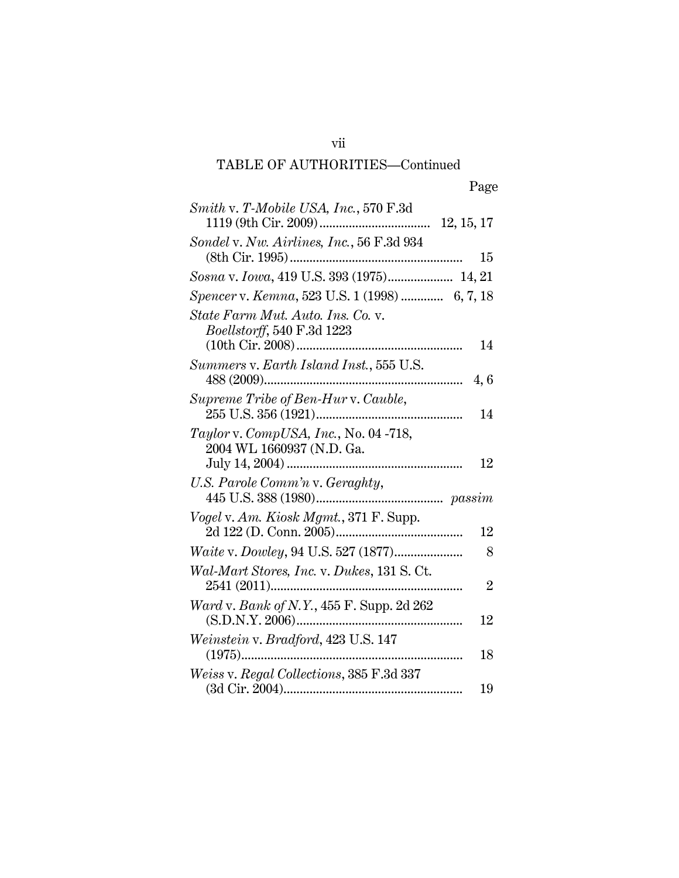# TABLE OF AUTHORITIES—Continued

vii

| Smith v. T-Mobile USA, Inc., 570 F.3d         |                |
|-----------------------------------------------|----------------|
|                                               |                |
| Sondel v. Nw. Airlines, Inc., 56 F.3d 934     |                |
|                                               | 15             |
| Sosna v. Iowa, 419 U.S. 393 (1975) 14, 21     |                |
| Spencer v. Kemna, 523 U.S. 1 (1998)  6, 7, 18 |                |
| State Farm Mut. Auto. Ins. Co. v.             |                |
| Boellstorff, 540 F.3d 1223                    |                |
|                                               | 14             |
| Summers v. Earth Island Inst., 555 U.S.       |                |
|                                               | 4,6            |
| Supreme Tribe of Ben-Hur v. Cauble,           |                |
|                                               | 14             |
| Taylor v. CompUSA, Inc., No. 04 -718,         |                |
| 2004 WL 1660937 (N.D. Ga.                     |                |
|                                               | 12             |
| U.S. Parole Comm'n v. Geraghty,               |                |
|                                               |                |
| Vogel v. Am. Kiosk Mgmt., 371 F. Supp.        |                |
|                                               | 12             |
|                                               | 8              |
| Wal-Mart Stores, Inc. v. Dukes, 131 S. Ct.    |                |
|                                               | $\overline{2}$ |
| Ward v. Bank of N.Y., 455 F. Supp. 2d 262     |                |
|                                               | 12             |
| Weinstein v. Bradford, 423 U.S. 147           |                |
|                                               | 18             |
| Weiss v. Regal Collections, 385 F.3d 337      |                |
|                                               | 19             |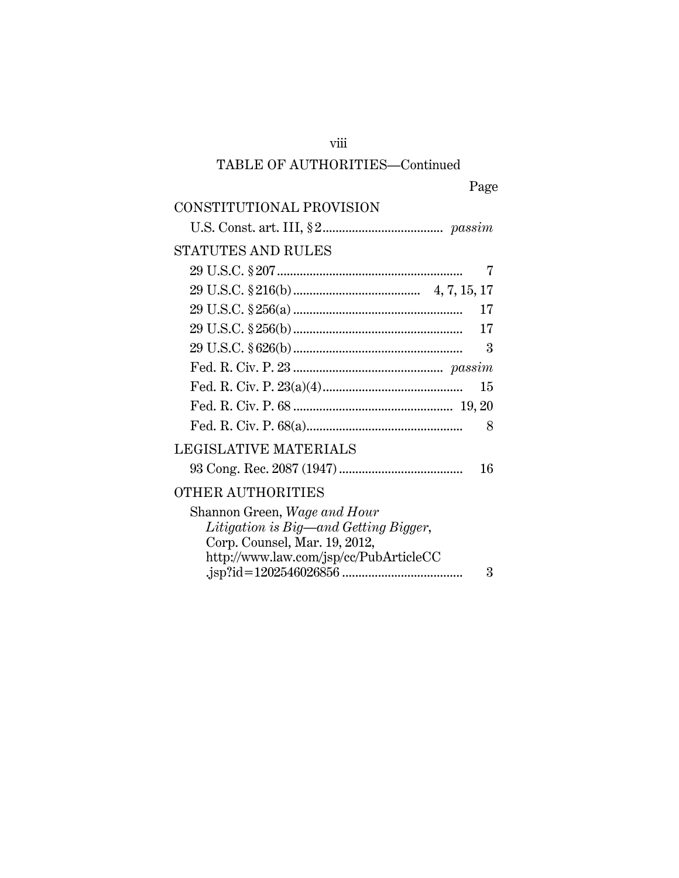### viii

### TABLE OF AUTHORITIES—Continued

# CONSTITUTIONAL PROVISION

# U.S. Const. art. III, § 2..................................... *passim* STATUTES AND RULES 29 U.S.C. § 207......................................................... 7 29 U.S.C. § 216(b) ....................................... 4, 7, 15, 17 29 U.S.C. § 256(a) .................................................... 17 29 U.S.C. § 256(b) .................................................... 17 29 U.S.C. § 626(b) .................................................... 3 Fed. R. Civ. P. 23 .............................................. *passim* Fed. R. Civ. P. 23(a)(4)........................................... 15 Fed. R. Civ. P. 68 ................................................. 19, 20 Fed. R. Civ. P. 68(a)................................................ 8 LEGISLATIVE MATERIALS 93 Cong. Rec. 2087 (1947)...................................... 16 OTHER AUTHORITIES Shannon Green, *Wage and Hour Litigation is Big—and Getting Bigger*, Corp. Counsel, Mar. 19, 2012, http://www.law.com/jsp/cc/PubArticleCC .jsp?id=1202546026856 ..................................... 3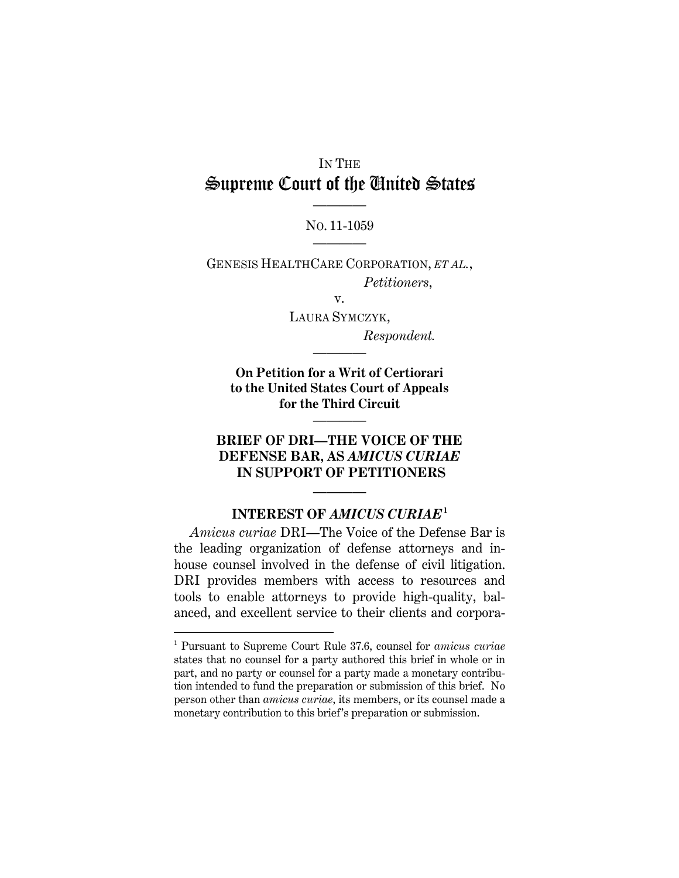# IN THE Supreme Court of the United States ————

NO. 11-1059 ————

GENESIS HEALTHCARE CORPORATION, *ET AL.*, *Petitioners*,

v.

LAURA SYMCZYK, *Respondent.* 

**On Petition for a Writ of Certiorari to the United States Court of Appeals for the Third Circuit**

————

————

## **BRIEF OF DRI—THE VOICE OF THE DEFENSE BAR, AS** *AMICUS CURIAE*  **IN SUPPORT OF PETITIONERS**

### **INTEREST OF** *AMICUS CURIAE***<sup>1</sup>**

————

*Amicus curiae* DRI—The Voice of the Defense Bar is the leading organization of defense attorneys and inhouse counsel involved in the defense of civil litigation. DRI provides members with access to resources and tools to enable attorneys to provide high-quality, balanced, and excellent service to their clients and corpora-

-

<sup>1</sup> Pursuant to Supreme Court Rule 37.6, counsel for *amicus curiae* states that no counsel for a party authored this brief in whole or in part, and no party or counsel for a party made a monetary contribution intended to fund the preparation or submission of this brief. No person other than *amicus curiae*, its members, or its counsel made a monetary contribution to this brief's preparation or submission.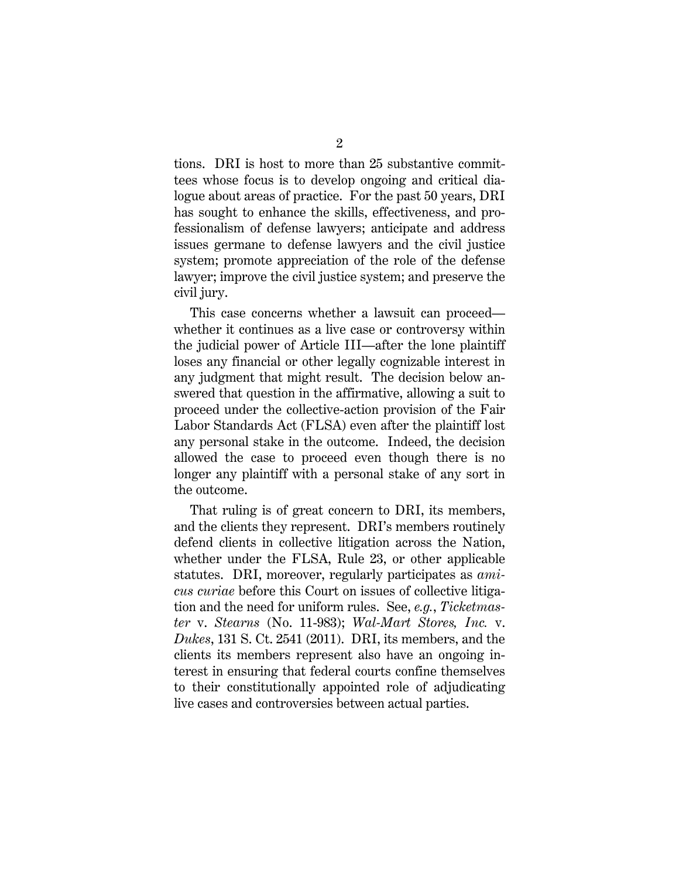tions. DRI is host to more than 25 substantive committees whose focus is to develop ongoing and critical dialogue about areas of practice. For the past 50 years, DRI has sought to enhance the skills, effectiveness, and professionalism of defense lawyers; anticipate and address issues germane to defense lawyers and the civil justice system; promote appreciation of the role of the defense lawyer; improve the civil justice system; and preserve the civil jury.

This case concerns whether a lawsuit can proceed whether it continues as a live case or controversy within the judicial power of Article III—after the lone plaintiff loses any financial or other legally cognizable interest in any judgment that might result. The decision below answered that question in the affirmative, allowing a suit to proceed under the collective-action provision of the Fair Labor Standards Act (FLSA) even after the plaintiff lost any personal stake in the outcome. Indeed, the decision allowed the case to proceed even though there is no longer any plaintiff with a personal stake of any sort in the outcome.

That ruling is of great concern to DRI, its members, and the clients they represent. DRI's members routinely defend clients in collective litigation across the Nation, whether under the FLSA, Rule 23, or other applicable statutes. DRI, moreover, regularly participates as *amicus curiae* before this Court on issues of collective litigation and the need for uniform rules. See, *e.g.*, *Ticketmaster* v. *Stearns* (No. 11-983); *Wal-Mart Stores, Inc.* v. *Dukes*, 131 S. Ct. 2541 (2011). DRI, its members, and the clients its members represent also have an ongoing interest in ensuring that federal courts confine themselves to their constitutionally appointed role of adjudicating live cases and controversies between actual parties.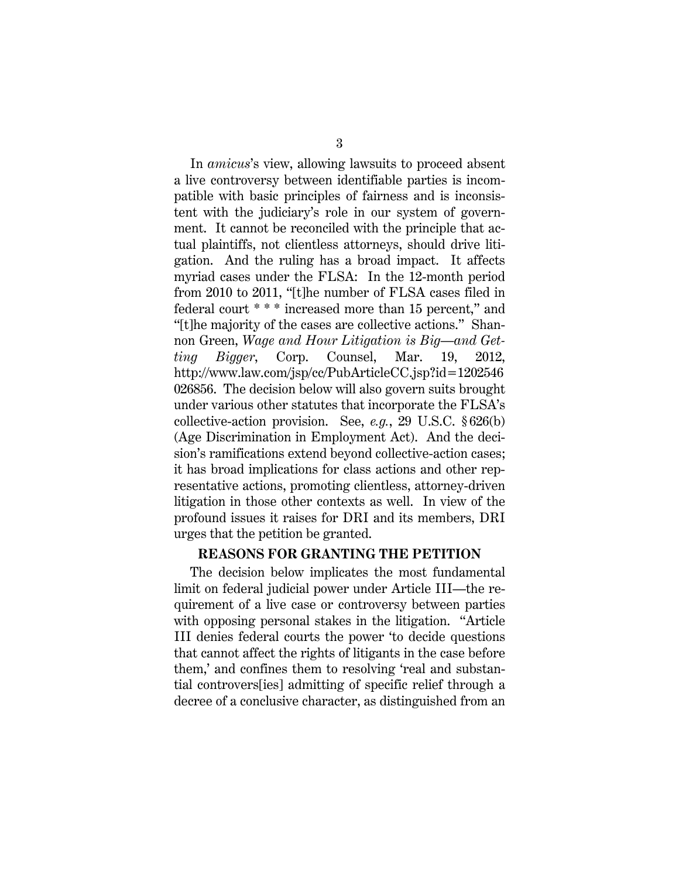In *amicus*'s view, allowing lawsuits to proceed absent a live controversy between identifiable parties is incompatible with basic principles of fairness and is inconsistent with the judiciary's role in our system of government. It cannot be reconciled with the principle that actual plaintiffs, not clientless attorneys, should drive litigation. And the ruling has a broad impact. It affects myriad cases under the FLSA: In the 12-month period from 2010 to 2011, "[t]he number of FLSA cases filed in federal court \* \* \* increased more than 15 percent," and "[t]he majority of the cases are collective actions." Shannon Green, *Wage and Hour Litigation is Big—and Getting Bigger*, Corp. Counsel, Mar. 19, 2012, http://www.law.com/jsp/cc/PubArticleCC.jsp?id=1202546 026856. The decision below will also govern suits brought under various other statutes that incorporate the FLSA's collective-action provision. See, *e.g.*, 29 U.S.C. § 626(b) (Age Discrimination in Employment Act). And the decision's ramifications extend beyond collective-action cases; it has broad implications for class actions and other representative actions, promoting clientless, attorney-driven litigation in those other contexts as well. In view of the profound issues it raises for DRI and its members, DRI urges that the petition be granted.

#### **REASONS FOR GRANTING THE PETITION**

The decision below implicates the most fundamental limit on federal judicial power under Article III—the requirement of a live case or controversy between parties with opposing personal stakes in the litigation. "Article III denies federal courts the power 'to decide questions that cannot affect the rights of litigants in the case before them,' and confines them to resolving 'real and substantial controvers[ies] admitting of specific relief through a decree of a conclusive character, as distinguished from an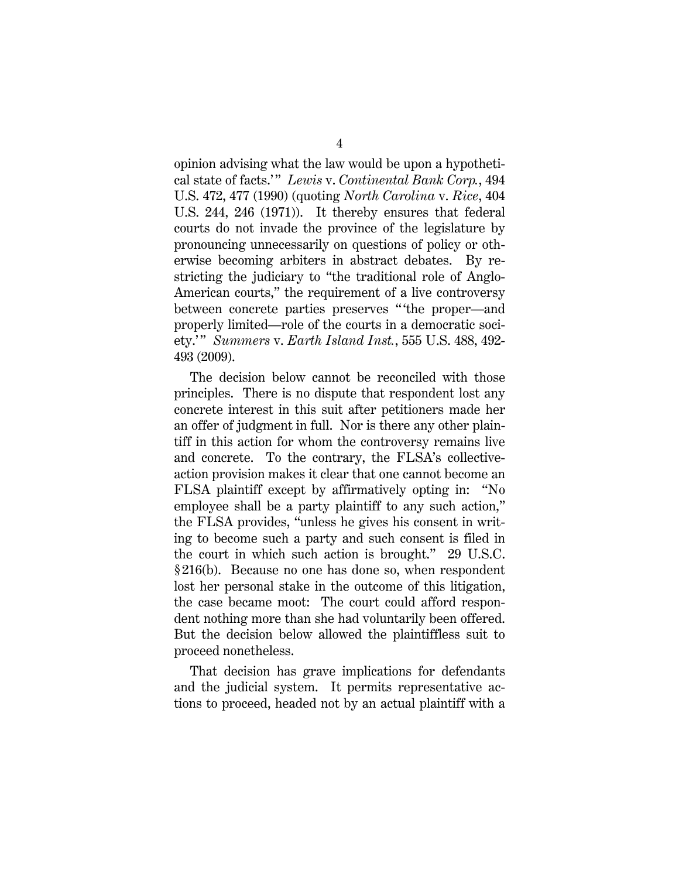opinion advising what the law would be upon a hypothetical state of facts.' " *Lewis* v. *Continental Bank Corp.*, 494 U.S. 472, 477 (1990) (quoting *North Carolina* v. *Rice*, 404 U.S. 244, 246 (1971)). It thereby ensures that federal courts do not invade the province of the legislature by pronouncing unnecessarily on questions of policy or otherwise becoming arbiters in abstract debates. By restricting the judiciary to "the traditional role of Anglo-American courts," the requirement of a live controversy between concrete parties preserves " 'the proper—and properly limited—role of the courts in a democratic society.' " *Summers* v. *Earth Island Inst.*, 555 U.S. 488, 492- 493 (2009).

The decision below cannot be reconciled with those principles. There is no dispute that respondent lost any concrete interest in this suit after petitioners made her an offer of judgment in full. Nor is there any other plaintiff in this action for whom the controversy remains live and concrete. To the contrary, the FLSA's collectiveaction provision makes it clear that one cannot become an FLSA plaintiff except by affirmatively opting in: "No employee shall be a party plaintiff to any such action," the FLSA provides, "unless he gives his consent in writing to become such a party and such consent is filed in the court in which such action is brought." 29 U.S.C. § 216(b). Because no one has done so, when respondent lost her personal stake in the outcome of this litigation, the case became moot: The court could afford respondent nothing more than she had voluntarily been offered. But the decision below allowed the plaintiffless suit to proceed nonetheless.

That decision has grave implications for defendants and the judicial system. It permits representative actions to proceed, headed not by an actual plaintiff with a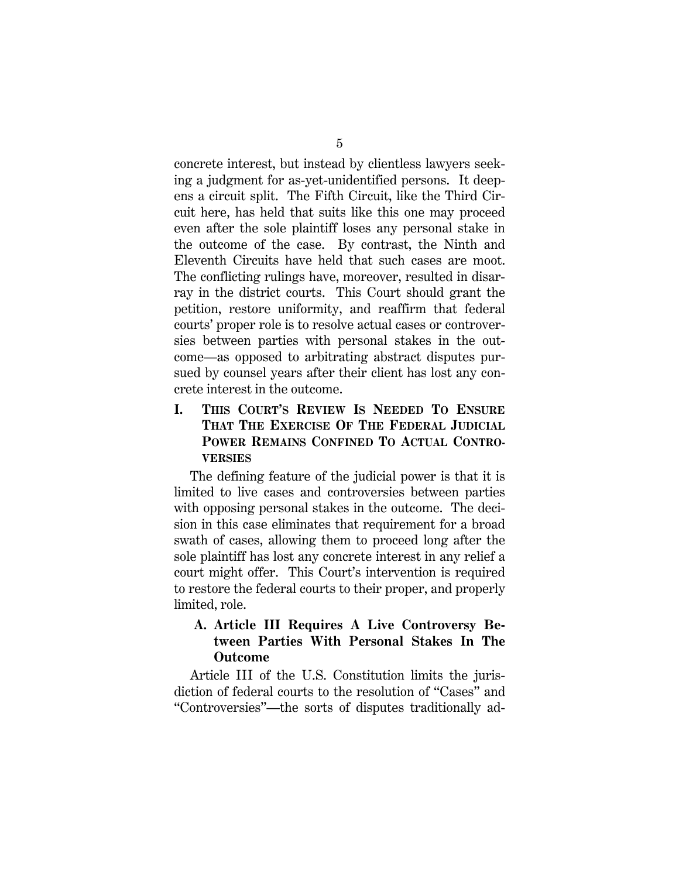concrete interest, but instead by clientless lawyers seeking a judgment for as-yet-unidentified persons. It deepens a circuit split. The Fifth Circuit, like the Third Circuit here, has held that suits like this one may proceed even after the sole plaintiff loses any personal stake in the outcome of the case. By contrast, the Ninth and Eleventh Circuits have held that such cases are moot. The conflicting rulings have, moreover, resulted in disarray in the district courts. This Court should grant the petition, restore uniformity, and reaffirm that federal courts' proper role is to resolve actual cases or controversies between parties with personal stakes in the outcome—as opposed to arbitrating abstract disputes pursued by counsel years after their client has lost any concrete interest in the outcome.

## **I. THIS COURT'S REVIEW IS NEEDED TO ENSURE THAT THE EXERCISE OF THE FEDERAL JUDICIAL POWER REMAINS CONFINED TO ACTUAL CONTRO-VERSIES**

The defining feature of the judicial power is that it is limited to live cases and controversies between parties with opposing personal stakes in the outcome. The decision in this case eliminates that requirement for a broad swath of cases, allowing them to proceed long after the sole plaintiff has lost any concrete interest in any relief a court might offer. This Court's intervention is required to restore the federal courts to their proper, and properly limited, role.

## **A. Article III Requires A Live Controversy Between Parties With Personal Stakes In The Outcome**

Article III of the U.S. Constitution limits the jurisdiction of federal courts to the resolution of "Cases" and "Controversies"—the sorts of disputes traditionally ad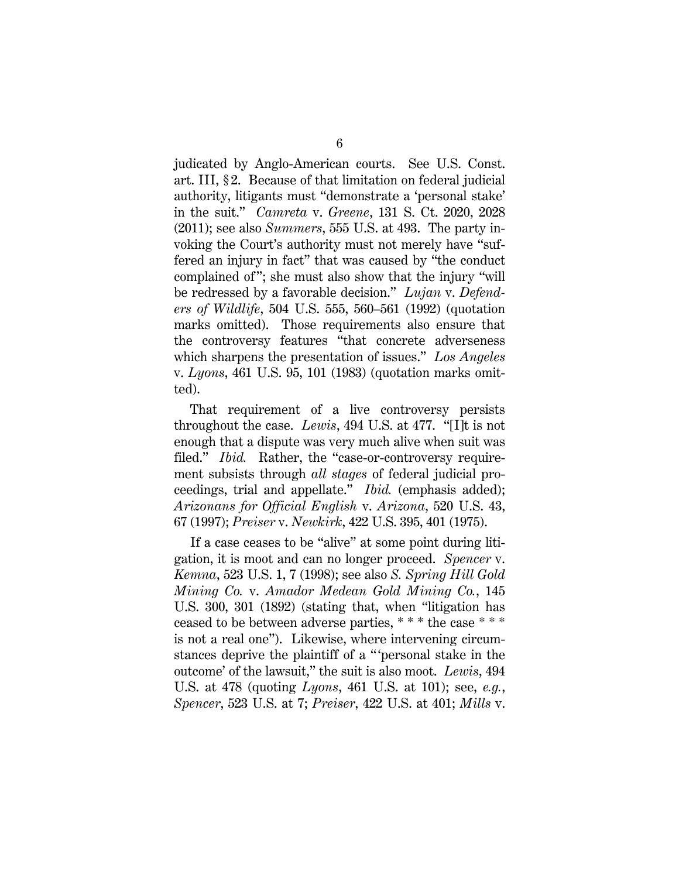judicated by Anglo-American courts. See U.S. Const. art. III, § 2. Because of that limitation on federal judicial authority, litigants must "demonstrate a 'personal stake' in the suit." *Camreta* v. *Greene*, 131 S. Ct. 2020, 2028 (2011); see also *Summers*, 555 U.S. at 493. The party invoking the Court's authority must not merely have "suffered an injury in fact" that was caused by "the conduct complained of "; she must also show that the injury "will be redressed by a favorable decision." *Lujan* v. *Defenders of Wildlife*, 504 U.S. 555, 560–561 (1992) (quotation marks omitted). Those requirements also ensure that the controversy features "that concrete adverseness which sharpens the presentation of issues." *Los Angeles* v. *Lyons*, 461 U.S. 95, 101 (1983) (quotation marks omitted).

That requirement of a live controversy persists throughout the case. *Lewis*, 494 U.S. at 477. "[I]t is not enough that a dispute was very much alive when suit was filed." *Ibid.* Rather, the "case-or-controversy requirement subsists through *all stages* of federal judicial proceedings, trial and appellate." *Ibid.* (emphasis added); *Arizonans for Official English* v. *Arizona*, 520 U.S. 43, 67 (1997); *Preiser* v. *Newkirk*, 422 U.S. 395, 401 (1975).

If a case ceases to be "alive" at some point during litigation, it is moot and can no longer proceed. *Spencer* v. *Kemna*, 523 U.S. 1, 7 (1998); see also *S. Spring Hill Gold Mining Co.* v. *Amador Medean Gold Mining Co.*, 145 U.S. 300, 301 (1892) (stating that, when "litigation has ceased to be between adverse parties, \* \* \* the case \* \* \* is not a real one"). Likewise, where intervening circumstances deprive the plaintiff of a " 'personal stake in the outcome' of the lawsuit," the suit is also moot. *Lewis*, 494 U.S. at 478 (quoting *Lyons*, 461 U.S. at 101); see, *e.g.*, *Spencer*, 523 U.S. at 7; *Preiser*, 422 U.S. at 401; *Mills* v.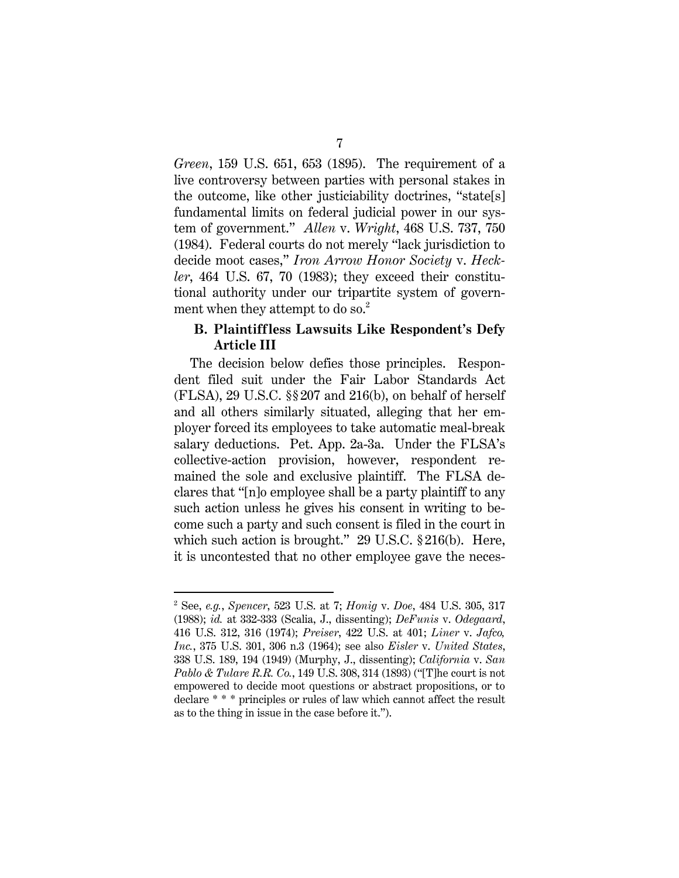*Green*, 159 U.S. 651, 653 (1895). The requirement of a live controversy between parties with personal stakes in the outcome, like other justiciability doctrines, "state[s] fundamental limits on federal judicial power in our system of government." *Allen* v. *Wright*, 468 U.S. 737, 750 (1984). Federal courts do not merely "lack jurisdiction to decide moot cases," *Iron Arrow Honor Society* v. *Heckler*, 464 U.S. 67, 70 (1983); they exceed their constitutional authority under our tripartite system of government when they attempt to do so.<sup>2</sup>

### **B. Plaintiffless Lawsuits Like Respondent's Defy Article III**

The decision below defies those principles. Respondent filed suit under the Fair Labor Standards Act  $(FLSA)$ , 29 U.S.C.  $\S$  $207$  and  $216(b)$ , on behalf of herself and all others similarly situated, alleging that her employer forced its employees to take automatic meal-break salary deductions. Pet. App. 2a-3a. Under the FLSA's collective-action provision, however, respondent remained the sole and exclusive plaintiff. The FLSA declares that "[n]o employee shall be a party plaintiff to any such action unless he gives his consent in writing to become such a party and such consent is filed in the court in which such action is brought." 29 U.S.C. § 216(b). Here, it is uncontested that no other employee gave the neces-

<u>.</u>

<sup>2</sup> See, *e.g.*, *Spencer*, 523 U.S. at 7; *Honig* v. *Doe*, 484 U.S. 305, 317 (1988); *id.* at 332-333 (Scalia, J., dissenting); *DeFunis* v. *Odegaard*, 416 U.S. 312, 316 (1974); *Preiser*, 422 U.S. at 401; *Liner* v. *Jafco, Inc.*, 375 U.S. 301, 306 n.3 (1964); see also *Eisler* v. *United States*, 338 U.S. 189, 194 (1949) (Murphy, J., dissenting); *California* v. *San Pablo & Tulare R.R. Co.*, 149 U.S. 308, 314 (1893) ("[T]he court is not empowered to decide moot questions or abstract propositions, or to declare \* \* \* principles or rules of law which cannot affect the result as to the thing in issue in the case before it.").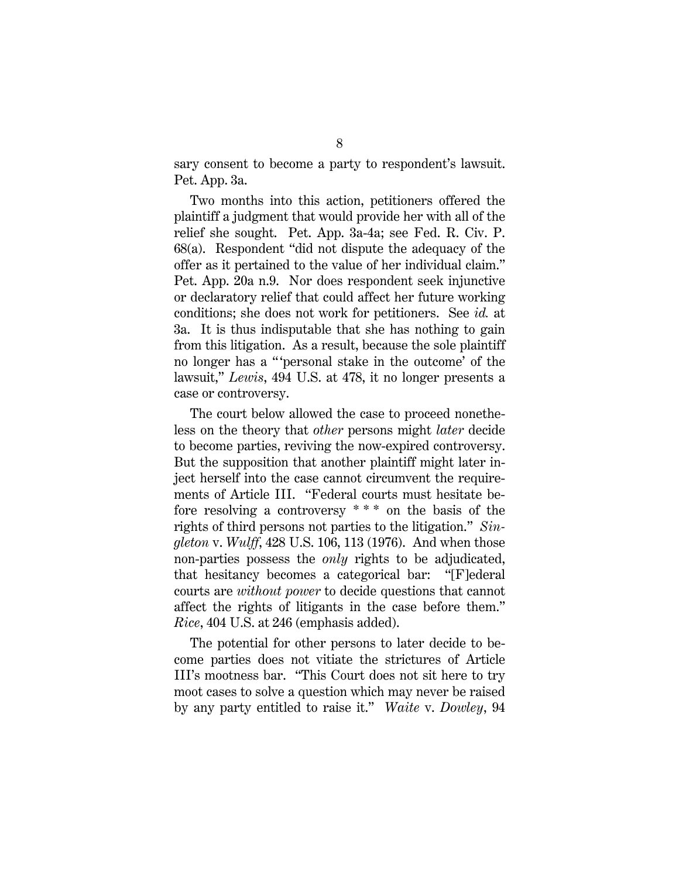sary consent to become a party to respondent's lawsuit. Pet. App. 3a.

Two months into this action, petitioners offered the plaintiff a judgment that would provide her with all of the relief she sought. Pet. App. 3a-4a; see Fed. R. Civ. P. 68(a). Respondent "did not dispute the adequacy of the offer as it pertained to the value of her individual claim." Pet. App. 20a n.9. Nor does respondent seek injunctive or declaratory relief that could affect her future working conditions; she does not work for petitioners. See *id.* at 3a. It is thus indisputable that she has nothing to gain from this litigation. As a result, because the sole plaintiff no longer has a " 'personal stake in the outcome' of the lawsuit," *Lewis*, 494 U.S. at 478, it no longer presents a case or controversy.

The court below allowed the case to proceed nonetheless on the theory that *other* persons might *later* decide to become parties, reviving the now-expired controversy. But the supposition that another plaintiff might later inject herself into the case cannot circumvent the requirements of Article III. "Federal courts must hesitate before resolving a controversy \* \* \* on the basis of the rights of third persons not parties to the litigation." *Singleton* v. *Wulff*, 428 U.S. 106, 113 (1976). And when those non-parties possess the *only* rights to be adjudicated, that hesitancy becomes a categorical bar: "[F]ederal courts are *without power* to decide questions that cannot affect the rights of litigants in the case before them." *Rice*, 404 U.S. at 246 (emphasis added).

The potential for other persons to later decide to become parties does not vitiate the strictures of Article III's mootness bar. "This Court does not sit here to try moot cases to solve a question which may never be raised by any party entitled to raise it." *Waite* v. *Dowley*, 94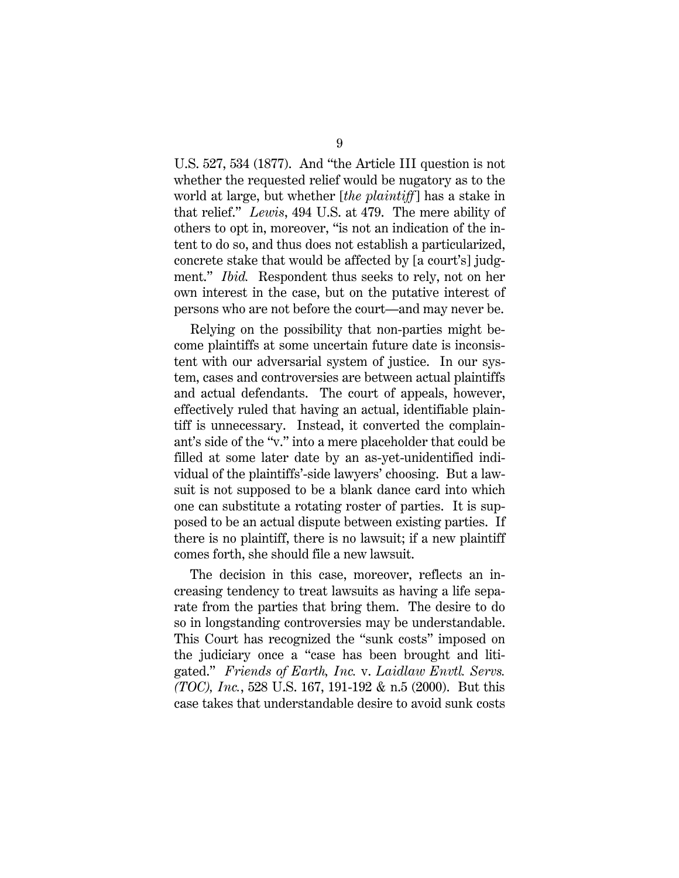U.S. 527, 534 (1877). And "the Article III question is not whether the requested relief would be nugatory as to the world at large, but whether [*the plaintiff*] has a stake in that relief." *Lewis*, 494 U.S. at 479. The mere ability of others to opt in, moreover, "is not an indication of the intent to do so, and thus does not establish a particularized, concrete stake that would be affected by [a court's] judgment." *Ibid.* Respondent thus seeks to rely, not on her own interest in the case, but on the putative interest of persons who are not before the court—and may never be.

Relying on the possibility that non-parties might become plaintiffs at some uncertain future date is inconsistent with our adversarial system of justice. In our system, cases and controversies are between actual plaintiffs and actual defendants. The court of appeals, however, effectively ruled that having an actual, identifiable plaintiff is unnecessary. Instead, it converted the complainant's side of the "v." into a mere placeholder that could be filled at some later date by an as-yet-unidentified individual of the plaintiffs'-side lawyers' choosing. But a lawsuit is not supposed to be a blank dance card into which one can substitute a rotating roster of parties. It is supposed to be an actual dispute between existing parties. If there is no plaintiff, there is no lawsuit; if a new plaintiff comes forth, she should file a new lawsuit.

The decision in this case, moreover, reflects an increasing tendency to treat lawsuits as having a life separate from the parties that bring them. The desire to do so in longstanding controversies may be understandable. This Court has recognized the "sunk costs" imposed on the judiciary once a "case has been brought and litigated." *Friends of Earth, Inc.* v. *Laidlaw Envtl. Servs. (TOC), Inc.*, 528 U.S. 167, 191-192 & n.5 (2000). But this case takes that understandable desire to avoid sunk costs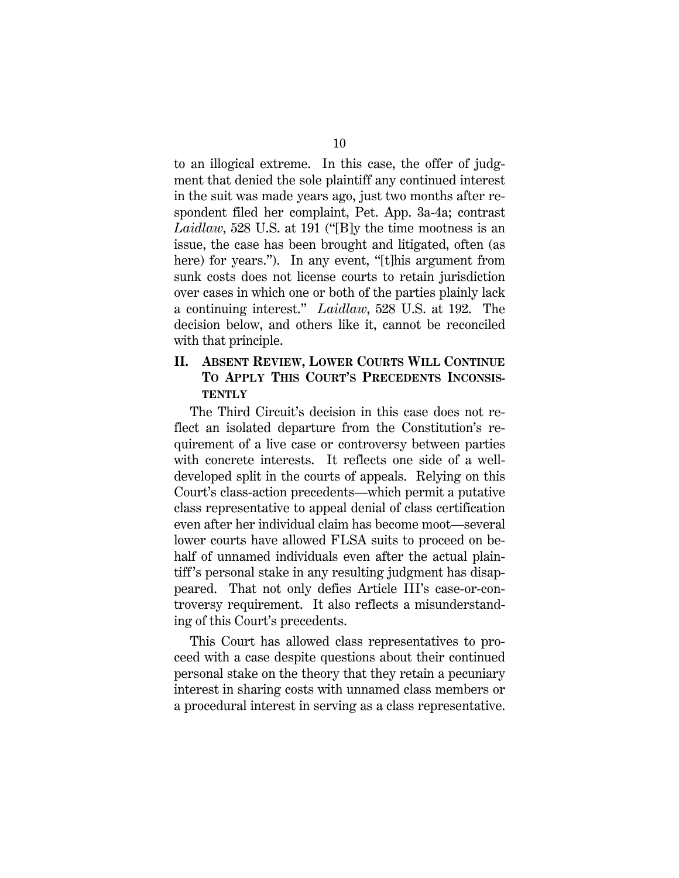to an illogical extreme. In this case, the offer of judgment that denied the sole plaintiff any continued interest in the suit was made years ago, just two months after respondent filed her complaint, Pet. App. 3a-4a; contrast *Laidlaw*, 528 U.S. at 191 ("[B]y the time mootness is an issue, the case has been brought and litigated, often (as here) for years."). In any event, "[t]his argument from sunk costs does not license courts to retain jurisdiction over cases in which one or both of the parties plainly lack a continuing interest." *Laidlaw*, 528 U.S. at 192. The decision below, and others like it, cannot be reconciled with that principle.

## **II. ABSENT REVIEW, LOWER COURTS WILL CONTINUE TO APPLY THIS COURT'S PRECEDENTS INCONSIS-TENTLY**

The Third Circuit's decision in this case does not reflect an isolated departure from the Constitution's requirement of a live case or controversy between parties with concrete interests. It reflects one side of a welldeveloped split in the courts of appeals. Relying on this Court's class-action precedents—which permit a putative class representative to appeal denial of class certification even after her individual claim has become moot—several lower courts have allowed FLSA suits to proceed on behalf of unnamed individuals even after the actual plaintiff 's personal stake in any resulting judgment has disappeared. That not only defies Article III's case-or-controversy requirement. It also reflects a misunderstanding of this Court's precedents.

This Court has allowed class representatives to proceed with a case despite questions about their continued personal stake on the theory that they retain a pecuniary interest in sharing costs with unnamed class members or a procedural interest in serving as a class representative.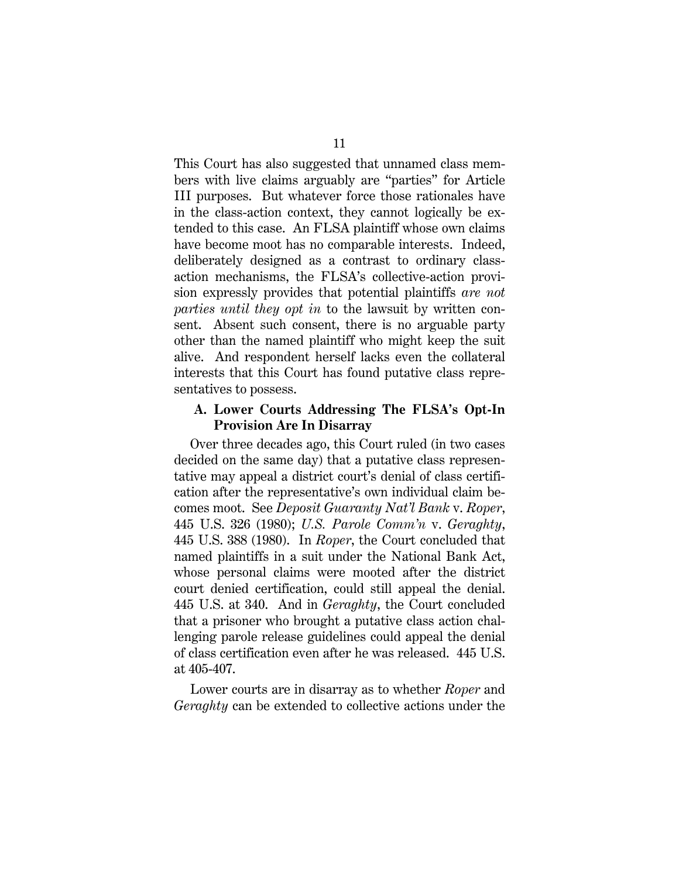This Court has also suggested that unnamed class members with live claims arguably are "parties" for Article III purposes. But whatever force those rationales have in the class-action context, they cannot logically be extended to this case. An FLSA plaintiff whose own claims have become moot has no comparable interests. Indeed, deliberately designed as a contrast to ordinary classaction mechanisms, the FLSA's collective-action provision expressly provides that potential plaintiffs *are not parties until they opt in* to the lawsuit by written consent. Absent such consent, there is no arguable party other than the named plaintiff who might keep the suit alive. And respondent herself lacks even the collateral interests that this Court has found putative class representatives to possess.

### **A. Lower Courts Addressing The FLSA's Opt-In Provision Are In Disarray**

Over three decades ago, this Court ruled (in two cases decided on the same day) that a putative class representative may appeal a district court's denial of class certification after the representative's own individual claim becomes moot. See *Deposit Guaranty Nat'l Bank* v. *Roper*, 445 U.S. 326 (1980); *U.S. Parole Comm'n* v. *Geraghty*, 445 U.S. 388 (1980). In *Roper*, the Court concluded that named plaintiffs in a suit under the National Bank Act, whose personal claims were mooted after the district court denied certification, could still appeal the denial. 445 U.S. at 340. And in *Geraghty*, the Court concluded that a prisoner who brought a putative class action challenging parole release guidelines could appeal the denial of class certification even after he was released. 445 U.S. at 405-407.

Lower courts are in disarray as to whether *Roper* and *Geraghty* can be extended to collective actions under the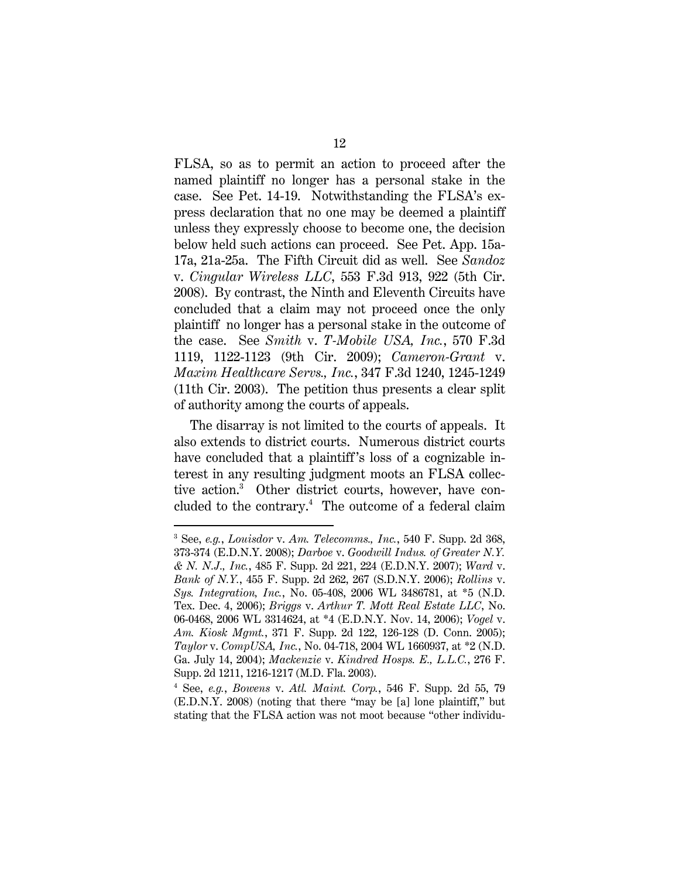FLSA, so as to permit an action to proceed after the named plaintiff no longer has a personal stake in the case. See Pet. 14-19. Notwithstanding the FLSA's express declaration that no one may be deemed a plaintiff unless they expressly choose to become one, the decision below held such actions can proceed. See Pet. App. 15a-17a, 21a-25a. The Fifth Circuit did as well. See *Sandoz* v. *Cingular Wireless LLC*, 553 F.3d 913, 922 (5th Cir. 2008). By contrast, the Ninth and Eleventh Circuits have concluded that a claim may not proceed once the only plaintiff no longer has a personal stake in the outcome of the case. See *Smith* v. *T-Mobile USA, Inc.*, 570 F.3d 1119, 1122-1123 (9th Cir. 2009); *Cameron-Grant* v. *Maxim Healthcare Servs., Inc.*, 347 F.3d 1240, 1245-1249 (11th Cir. 2003). The petition thus presents a clear split of authority among the courts of appeals.

The disarray is not limited to the courts of appeals. It also extends to district courts. Numerous district courts have concluded that a plaintiff's loss of a cognizable interest in any resulting judgment moots an FLSA collective action.3 Other district courts, however, have concluded to the contrary.4 The outcome of a federal claim

-

<sup>3</sup> See, *e.g.*, *Louisdor* v. *Am. Telecomms., Inc.*, 540 F. Supp. 2d 368, 373-374 (E.D.N.Y. 2008); *Darboe* v. *Goodwill Indus. of Greater N.Y. & N. N.J., Inc.*, 485 F. Supp. 2d 221, 224 (E.D.N.Y. 2007); *Ward* v. *Bank of N.Y.*, 455 F. Supp. 2d 262, 267 (S.D.N.Y. 2006); *Rollins* v. *Sys. Integration, Inc.*, No. 05-408, 2006 WL 3486781, at \*5 (N.D. Tex. Dec. 4, 2006); *Briggs* v. *Arthur T. Mott Real Estate LLC*, No. 06-0468, 2006 WL 3314624, at \*4 (E.D.N.Y. Nov. 14, 2006); *Vogel* v. *Am. Kiosk Mgmt.*, 371 F. Supp. 2d 122, 126-128 (D. Conn. 2005); *Taylor* v. *CompUSA, Inc.*, No. 04-718, 2004 WL 1660937, at \*2 (N.D. Ga. July 14, 2004); *Mackenzie* v. *Kindred Hosps. E., L.L.C.*, 276 F. Supp. 2d 1211, 1216-1217 (M.D. Fla. 2003).

<sup>4</sup> See, *e.g.*, *Bowens* v. *Atl. Maint. Corp.*, 546 F. Supp. 2d 55, 79 (E.D.N.Y. 2008) (noting that there "may be [a] lone plaintiff," but stating that the FLSA action was not moot because "other individu-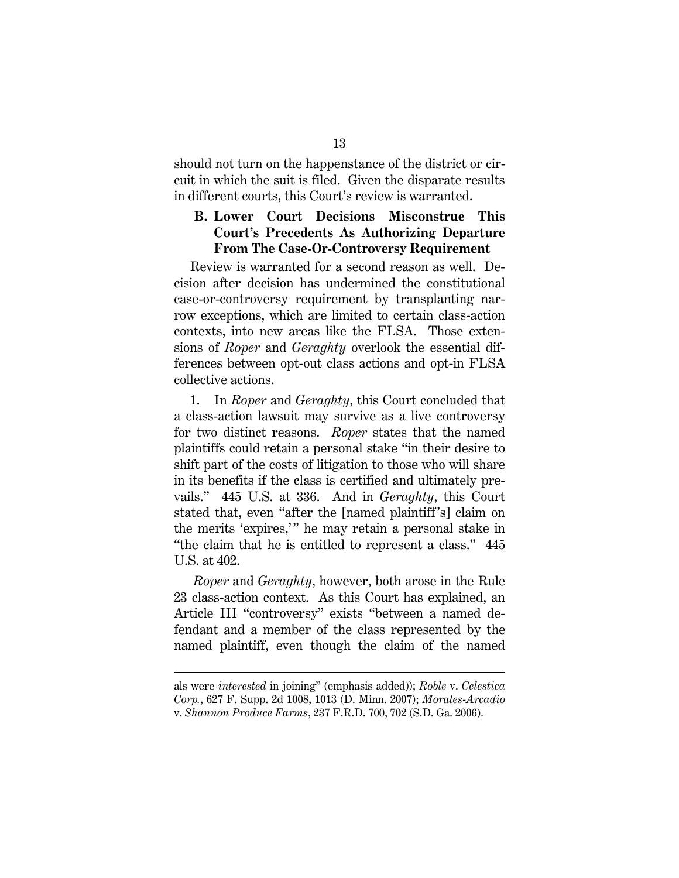should not turn on the happenstance of the district or circuit in which the suit is filed. Given the disparate results in different courts, this Court's review is warranted.

## **B. Lower Court Decisions Misconstrue This Court's Precedents As Authorizing Departure From The Case-Or-Controversy Requirement**

Review is warranted for a second reason as well. Decision after decision has undermined the constitutional case-or-controversy requirement by transplanting narrow exceptions, which are limited to certain class-action contexts, into new areas like the FLSA. Those extensions of *Roper* and *Geraghty* overlook the essential differences between opt-out class actions and opt-in FLSA collective actions.

1. In *Roper* and *Geraghty*, this Court concluded that a class-action lawsuit may survive as a live controversy for two distinct reasons. *Roper* states that the named plaintiffs could retain a personal stake "in their desire to shift part of the costs of litigation to those who will share in its benefits if the class is certified and ultimately prevails." 445 U.S. at 336. And in *Geraghty*, this Court stated that, even "after the [named plaintiff 's] claim on the merits 'expires,'" he may retain a personal stake in "the claim that he is entitled to represent a class." 445 U.S. at 402.

 *Roper* and *Geraghty*, however, both arose in the Rule 23 class-action context. As this Court has explained, an Article III "controversy" exists "between a named defendant and a member of the class represented by the named plaintiff, even though the claim of the named

 $\overline{a}$ 

als were *interested* in joining" (emphasis added)); *Roble* v. *Celestica Corp.*, 627 F. Supp. 2d 1008, 1013 (D. Minn. 2007); *Morales-Arcadio* v. *Shannon Produce Farms*, 237 F.R.D. 700, 702 (S.D. Ga. 2006).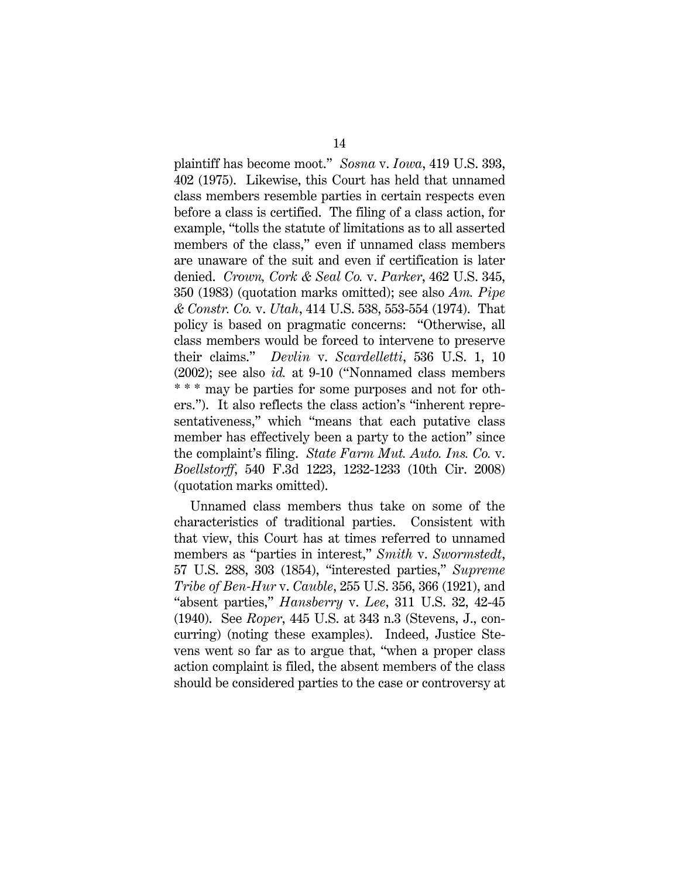plaintiff has become moot." *Sosna* v. *Iowa*, 419 U.S. 393, 402 (1975). Likewise, this Court has held that unnamed class members resemble parties in certain respects even before a class is certified. The filing of a class action, for example, "tolls the statute of limitations as to all asserted members of the class," even if unnamed class members are unaware of the suit and even if certification is later denied. *Crown, Cork & Seal Co.* v. *Parker*, 462 U.S. 345, 350 (1983) (quotation marks omitted); see also *Am. Pipe & Constr. Co.* v. *Utah*, 414 U.S. 538, 553-554 (1974). That policy is based on pragmatic concerns: "Otherwise, all class members would be forced to intervene to preserve their claims." *Devlin* v. *Scardelletti*, 536 U.S. 1, 10 (2002); see also *id.* at 9-10 ("Nonnamed class members \* \* \* may be parties for some purposes and not for others."). It also reflects the class action's "inherent representativeness," which "means that each putative class member has effectively been a party to the action" since the complaint's filing. *State Farm Mut. Auto. Ins. Co.* v. *Boellstorff*, 540 F.3d 1223, 1232-1233 (10th Cir. 2008) (quotation marks omitted).

Unnamed class members thus take on some of the characteristics of traditional parties. Consistent with that view, this Court has at times referred to unnamed members as "parties in interest," *Smith* v. *Swormstedt*, 57 U.S. 288, 303 (1854), "interested parties," *Supreme Tribe of Ben-Hur* v. *Cauble*, 255 U.S. 356, 366 (1921), and "absent parties," *Hansberry* v. *Lee*, 311 U.S. 32, 42-45 (1940). See *Roper*, 445 U.S. at 343 n.3 (Stevens, J., concurring) (noting these examples). Indeed, Justice Stevens went so far as to argue that, "when a proper class action complaint is filed, the absent members of the class should be considered parties to the case or controversy at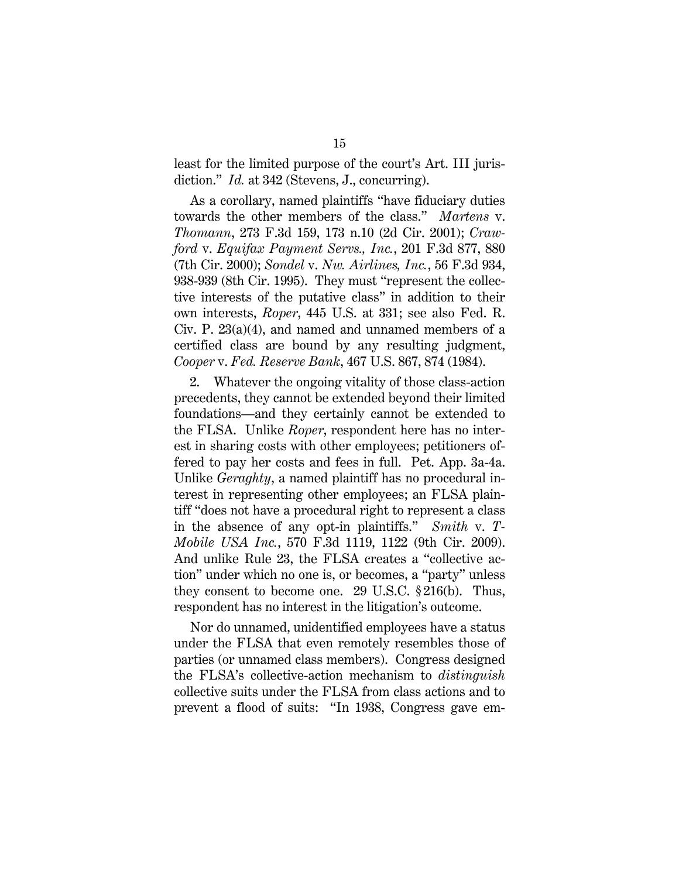least for the limited purpose of the court's Art. III jurisdiction." *Id.* at 342 (Stevens, J., concurring).

As a corollary, named plaintiffs "have fiduciary duties towards the other members of the class." *Martens* v. *Thomann*, 273 F.3d 159, 173 n.10 (2d Cir. 2001); *Crawford* v. *Equifax Payment Servs., Inc.*, 201 F.3d 877, 880 (7th Cir. 2000); *Sondel* v. *Nw. Airlines, Inc.*, 56 F.3d 934, 938-939 (8th Cir. 1995). They must "represent the collective interests of the putative class" in addition to their own interests, *Roper*, 445 U.S. at 331; see also Fed. R. Civ. P. 23(a)(4), and named and unnamed members of a certified class are bound by any resulting judgment, *Cooper* v. *Fed. Reserve Bank*, 467 U.S. 867, 874 (1984).

2. Whatever the ongoing vitality of those class-action precedents, they cannot be extended beyond their limited foundations—and they certainly cannot be extended to the FLSA. Unlike *Roper*, respondent here has no interest in sharing costs with other employees; petitioners offered to pay her costs and fees in full. Pet. App. 3a-4a. Unlike *Geraghty*, a named plaintiff has no procedural interest in representing other employees; an FLSA plaintiff "does not have a procedural right to represent a class in the absence of any opt-in plaintiffs." *Smith* v. *T-Mobile USA Inc.*, 570 F.3d 1119, 1122 (9th Cir. 2009). And unlike Rule 23, the FLSA creates a "collective action" under which no one is, or becomes, a "party" unless they consent to become one. 29 U.S.C. § 216(b). Thus, respondent has no interest in the litigation's outcome.

Nor do unnamed, unidentified employees have a status under the FLSA that even remotely resembles those of parties (or unnamed class members). Congress designed the FLSA's collective-action mechanism to *distinguish*  collective suits under the FLSA from class actions and to prevent a flood of suits: "In 1938, Congress gave em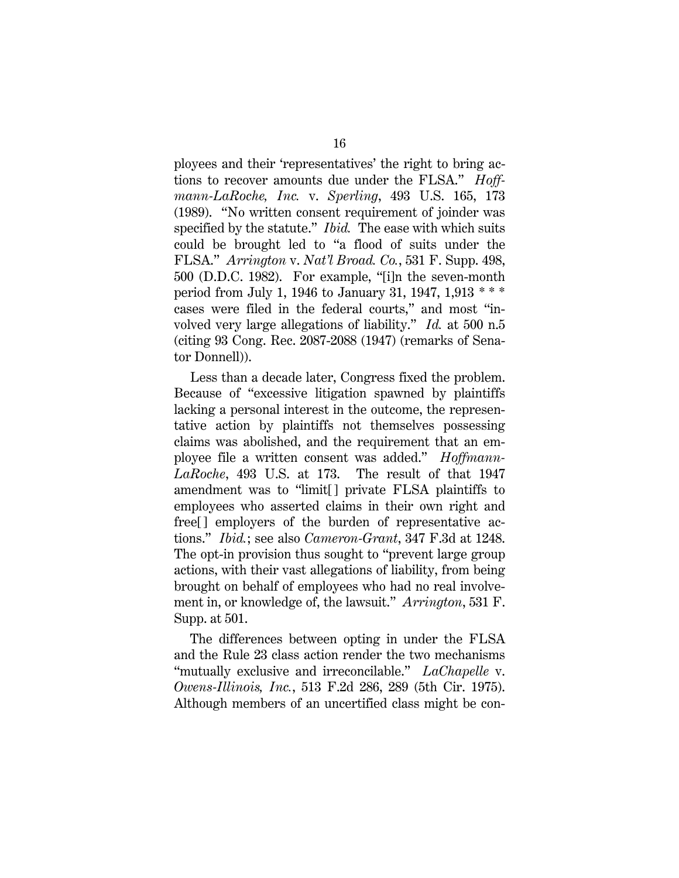ployees and their 'representatives' the right to bring actions to recover amounts due under the FLSA." *Hoffmann-LaRoche, Inc.* v. *Sperling*, 493 U.S. 165, 173 (1989). "No written consent requirement of joinder was specified by the statute." *Ibid.* The ease with which suits could be brought led to "a flood of suits under the FLSA." *Arrington* v. *Nat'l Broad. Co.*, 531 F. Supp. 498, 500 (D.D.C. 1982). For example, "[i]n the seven-month period from July 1, 1946 to January 31, 1947, 1,913 \* \* \* cases were filed in the federal courts," and most "involved very large allegations of liability." *Id.* at 500 n.5 (citing 93 Cong. Rec. 2087-2088 (1947) (remarks of Senator Donnell)).

Less than a decade later, Congress fixed the problem. Because of "excessive litigation spawned by plaintiffs lacking a personal interest in the outcome, the representative action by plaintiffs not themselves possessing claims was abolished, and the requirement that an employee file a written consent was added." *Hoffmann-LaRoche*, 493 U.S. at 173. The result of that 1947 amendment was to "limit[] private FLSA plaintiffs to employees who asserted claims in their own right and free[] employers of the burden of representative actions." *Ibid.*; see also *Cameron-Grant*, 347 F.3d at 1248. The opt-in provision thus sought to "prevent large group actions, with their vast allegations of liability, from being brought on behalf of employees who had no real involvement in, or knowledge of, the lawsuit." *Arrington*, 531 F. Supp. at 501.

The differences between opting in under the FLSA and the Rule 23 class action render the two mechanisms "mutually exclusive and irreconcilable." *LaChapelle* v. *Owens-Illinois, Inc.*, 513 F.2d 286, 289 (5th Cir. 1975). Although members of an uncertified class might be con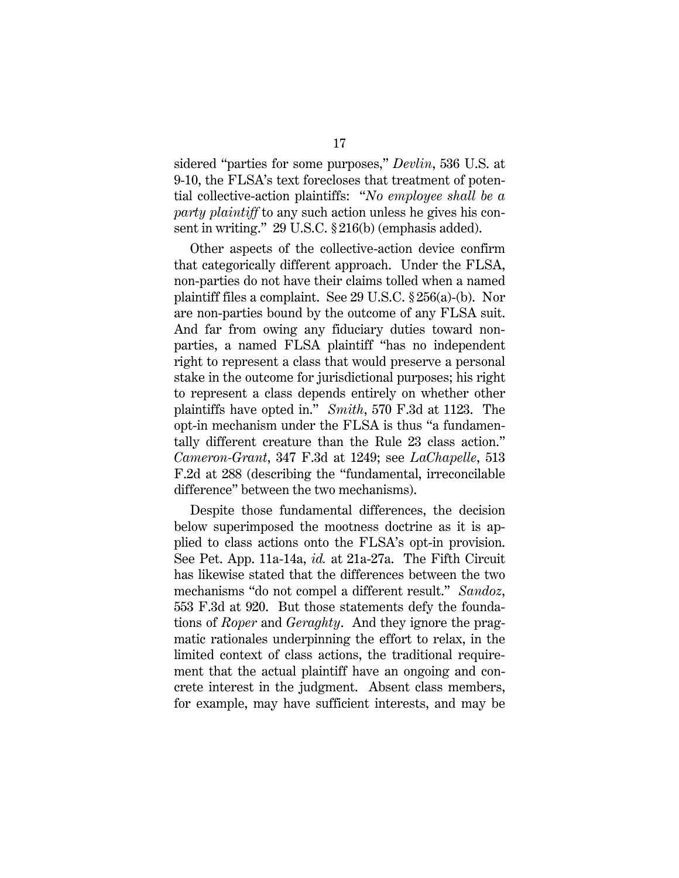sidered "parties for some purposes," *Devlin*, 536 U.S. at 9-10, the FLSA's text forecloses that treatment of potential collective-action plaintiffs: "*No employee shall be a party plaintiff* to any such action unless he gives his consent in writing." 29 U.S.C. § 216(b) (emphasis added).

Other aspects of the collective-action device confirm that categorically different approach. Under the FLSA, non-parties do not have their claims tolled when a named plaintiff files a complaint. See 29 U.S.C. § 256(a)-(b). Nor are non-parties bound by the outcome of any FLSA suit. And far from owing any fiduciary duties toward nonparties, a named FLSA plaintiff "has no independent right to represent a class that would preserve a personal stake in the outcome for jurisdictional purposes; his right to represent a class depends entirely on whether other plaintiffs have opted in." *Smith*, 570 F.3d at 1123. The opt-in mechanism under the FLSA is thus "a fundamentally different creature than the Rule 23 class action." *Cameron-Grant*, 347 F.3d at 1249; see *LaChapelle*, 513 F.2d at 288 (describing the "fundamental, irreconcilable difference" between the two mechanisms).

Despite those fundamental differences, the decision below superimposed the mootness doctrine as it is applied to class actions onto the FLSA's opt-in provision. See Pet. App. 11a-14a, *id.* at 21a-27a. The Fifth Circuit has likewise stated that the differences between the two mechanisms "do not compel a different result." *Sandoz*, 553 F.3d at 920. But those statements defy the foundations of *Roper* and *Geraghty*. And they ignore the pragmatic rationales underpinning the effort to relax, in the limited context of class actions, the traditional requirement that the actual plaintiff have an ongoing and concrete interest in the judgment. Absent class members, for example, may have sufficient interests, and may be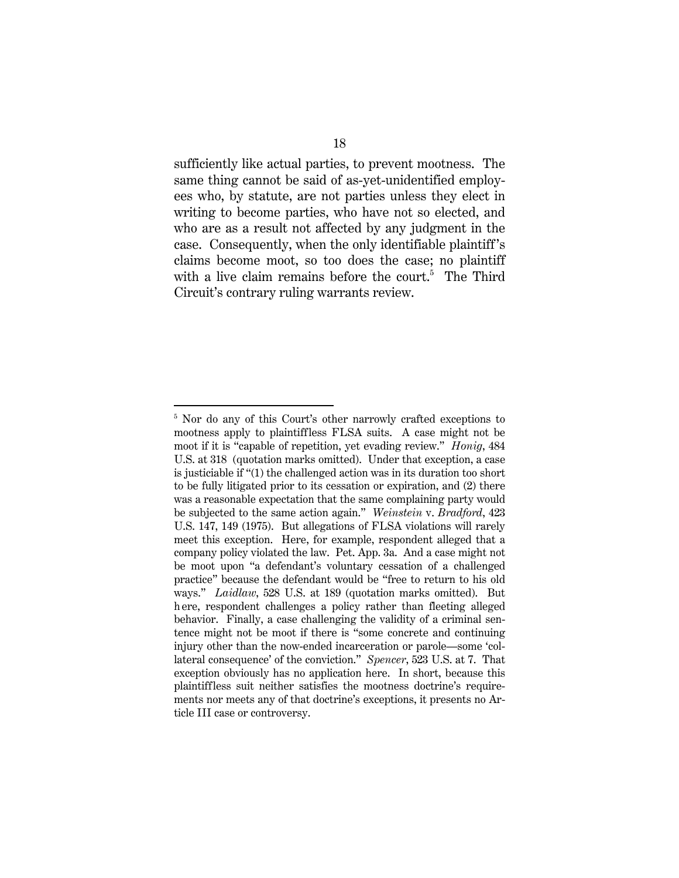sufficiently like actual parties, to prevent mootness. The same thing cannot be said of as-yet-unidentified employees who, by statute, are not parties unless they elect in writing to become parties, who have not so elected, and who are as a result not affected by any judgment in the case. Consequently, when the only identifiable plaintiff 's claims become moot, so too does the case; no plaintiff with a live claim remains before the court.<sup>5</sup> The Third Circuit's contrary ruling warrants review.

<u>.</u>

<sup>&</sup>lt;sup>5</sup> Nor do any of this Court's other narrowly crafted exceptions to mootness apply to plaintiffless FLSA suits. A case might not be moot if it is "capable of repetition, yet evading review." *Honig*, 484 U.S. at 318 (quotation marks omitted). Under that exception, a case is justiciable if "(1) the challenged action was in its duration too short to be fully litigated prior to its cessation or expiration, and (2) there was a reasonable expectation that the same complaining party would be subjected to the same action again." *Weinstein* v. *Bradford*, 423 U.S. 147, 149 (1975). But allegations of FLSA violations will rarely meet this exception. Here, for example, respondent alleged that a company policy violated the law. Pet. App. 3a. And a case might not be moot upon "a defendant's voluntary cessation of a challenged practice" because the defendant would be "free to return to his old ways." *Laidlaw*, 528 U.S. at 189 (quotation marks omitted). But h ere, respondent challenges a policy rather than fleeting alleged behavior. Finally, a case challenging the validity of a criminal sentence might not be moot if there is "some concrete and continuing injury other than the now-ended incarceration or parole—some 'collateral consequence' of the conviction." *Spencer*, 523 U.S. at 7. That exception obviously has no application here. In short, because this plaintiffless suit neither satisfies the mootness doctrine's requirements nor meets any of that doctrine's exceptions, it presents no Article III case or controversy.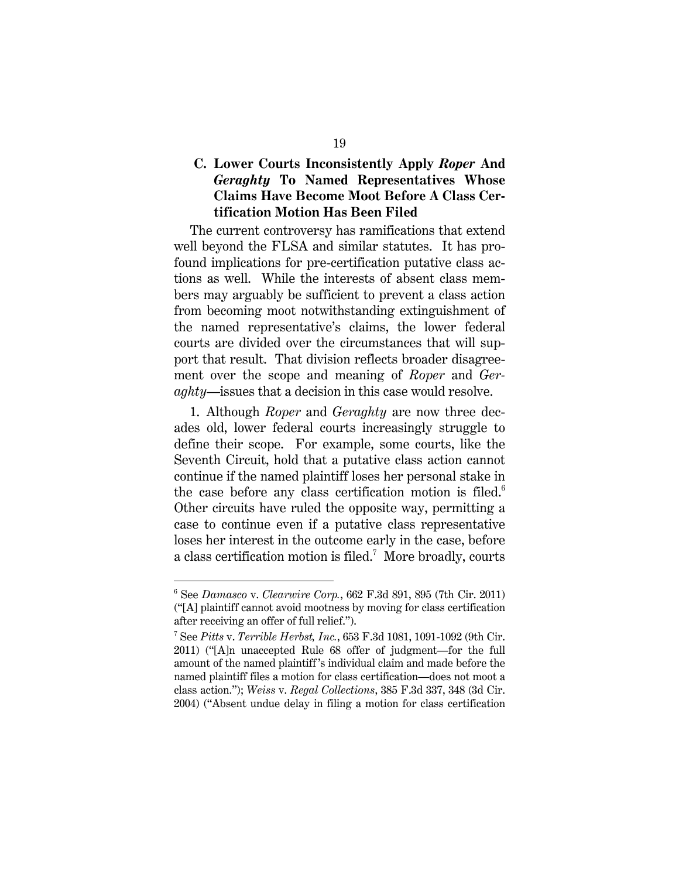## **C. Lower Courts Inconsistently Apply** *Roper* **And**  *Geraghty* **To Named Representatives Whose Claims Have Become Moot Before A Class Certification Motion Has Been Filed**

The current controversy has ramifications that extend well beyond the FLSA and similar statutes. It has profound implications for pre-certification putative class actions as well. While the interests of absent class members may arguably be sufficient to prevent a class action from becoming moot notwithstanding extinguishment of the named representative's claims, the lower federal courts are divided over the circumstances that will support that result. That division reflects broader disagreement over the scope and meaning of *Roper* and *Geraghty*—issues that a decision in this case would resolve.

1. Although *Roper* and *Geraghty* are now three decades old, lower federal courts increasingly struggle to define their scope. For example, some courts, like the Seventh Circuit, hold that a putative class action cannot continue if the named plaintiff loses her personal stake in the case before any class certification motion is filed. $6$ Other circuits have ruled the opposite way, permitting a case to continue even if a putative class representative loses her interest in the outcome early in the case, before a class certification motion is filed.<sup>7</sup> More broadly, courts

-

<sup>6</sup> See *Damasco* v. *Clearwire Corp.*, 662 F.3d 891, 895 (7th Cir. 2011) ("[A] plaintiff cannot avoid mootness by moving for class certification after receiving an offer of full relief.").

<sup>7</sup> See *Pitts* v. *Terrible Herbst, Inc.*, 653 F.3d 1081, 1091-1092 (9th Cir. 2011) ("[A]n unaccepted Rule 68 offer of judgment—for the full amount of the named plaintiff 's individual claim and made before the named plaintiff files a motion for class certification—does not moot a class action."); *Weiss* v. *Regal Collections*, 385 F.3d 337, 348 (3d Cir. 2004) ("Absent undue delay in filing a motion for class certification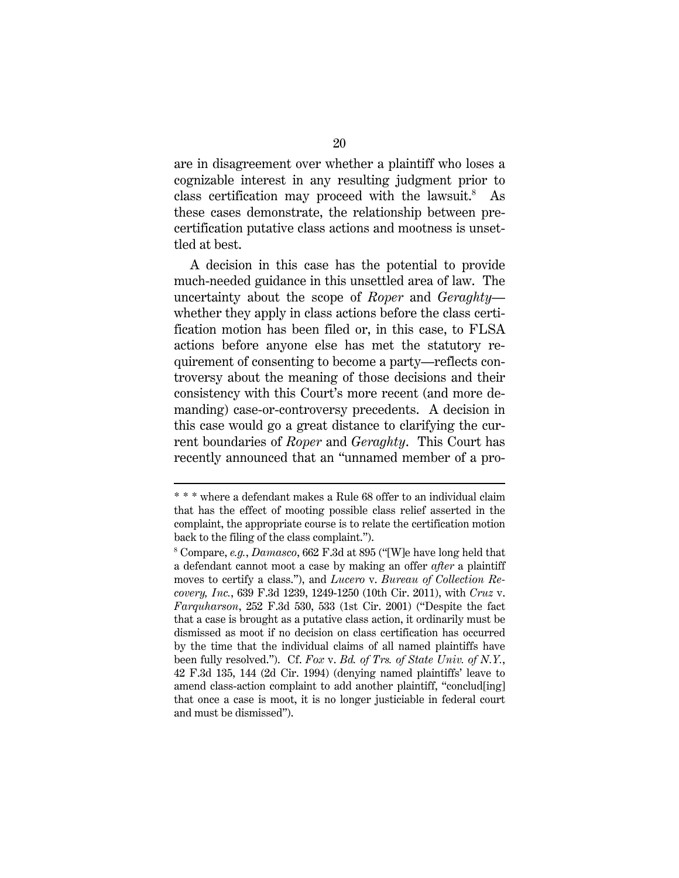are in disagreement over whether a plaintiff who loses a cognizable interest in any resulting judgment prior to class certification may proceed with the lawsuit. $8$  As these cases demonstrate, the relationship between precertification putative class actions and mootness is unsettled at best.

A decision in this case has the potential to provide much-needed guidance in this unsettled area of law. The uncertainty about the scope of *Roper* and *Geraghty* whether they apply in class actions before the class certification motion has been filed or, in this case, to FLSA actions before anyone else has met the statutory requirement of consenting to become a party—reflects controversy about the meaning of those decisions and their consistency with this Court's more recent (and more demanding) case-or-controversy precedents. A decision in this case would go a great distance to clarifying the current boundaries of *Roper* and *Geraghty*. This Court has recently announced that an "unnamed member of a pro-

 $\overline{a}$ 

<sup>\* \* \*</sup> where a defendant makes a Rule 68 offer to an individual claim that has the effect of mooting possible class relief asserted in the complaint, the appropriate course is to relate the certification motion back to the filing of the class complaint.").

<sup>8</sup> Compare, *e.g.*, *Damasco*, 662 F.3d at 895 ("[W]e have long held that a defendant cannot moot a case by making an offer *after* a plaintiff moves to certify a class."), and *Lucero* v. *Bureau of Collection Recovery, Inc.*, 639 F.3d 1239, 1249-1250 (10th Cir. 2011), with *Cruz* v. *Farquharson*, 252 F.3d 530, 533 (1st Cir. 2001) ("Despite the fact that a case is brought as a putative class action, it ordinarily must be dismissed as moot if no decision on class certification has occurred by the time that the individual claims of all named plaintiffs have been fully resolved."). Cf. *Fox* v. *Bd. of Trs. of State Univ. of N.Y.*, 42 F.3d 135, 144 (2d Cir. 1994) (denying named plaintiffs' leave to amend class-action complaint to add another plaintiff, "conclud[ing] that once a case is moot, it is no longer justiciable in federal court and must be dismissed").